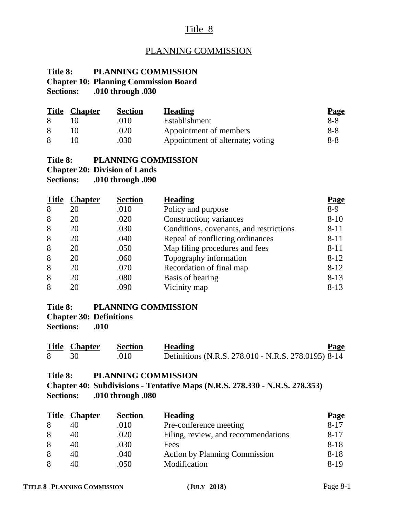# Title 8

# PLANNING COMMISSION

#### **Title 8: PLANNING COMMISSION Chapter 10: Planning Commission Board Sections: .010 through .030**

| <b>Title</b> | <b>Chapter</b> | <b>Section</b> | <b>Heading</b>                   | <b>Page</b> |
|--------------|----------------|----------------|----------------------------------|-------------|
|              |                | .010           | Establishment                    | 8-8         |
|              |                | .020           | Appointment of members           | 8-8         |
|              |                | .030           | Appointment of alternate; voting | 8-8         |

#### **Title 8: PLANNING COMMISSION Chapter 20: Division of Lands**

**Sections: .010 through .090**

| <b>Title</b> | <b>Chapter</b> | <b>Section</b> | <b>Heading</b>                          | <u>Page</u> |
|--------------|----------------|----------------|-----------------------------------------|-------------|
| 8            | 20             | .010           | Policy and purpose                      | $8-9$       |
| 8            | 20             | .020           | Construction; variances                 | $8 - 10$    |
| 8            | 20             | .030           | Conditions, covenants, and restrictions | $8 - 11$    |
| 8            | 20             | .040           | Repeal of conflicting ordinances        | $8 - 11$    |
| 8            | 20             | .050           | Map filing procedures and fees          | $8 - 11$    |
| 8            | 20             | .060           | Topography information                  | $8 - 12$    |
| 8            | 20             | .070           | Recordation of final map                | $8 - 12$    |
| 8            | 20             | .080           | Basis of bearing                        | $8-13$      |
| 8            |                | .090           | Vicinity map                            | $8 - 13$    |

#### **Title 8: PLANNING COMMISSION Chapter 30: Definitions Sections: .010**

| <b>Title Chapter</b> | Section | <b>Heading</b>                                      | <b>Page</b> |
|----------------------|---------|-----------------------------------------------------|-------------|
|                      | .010    | Definitions (N.R.S. 278.010 - N.R.S. 278.0195) 8-14 |             |

#### **Title 8: PLANNING COMMISSION**

**Chapter 40: Subdivisions - Tentative Maps (N.R.S. 278.330 - N.R.S. 278.353) Sections: .010 through .080**

| <b>Title</b> | <b>Chapter</b> | <b>Section</b> | <b>Heading</b>                       | <b>Page</b> |
|--------------|----------------|----------------|--------------------------------------|-------------|
|              | 40             | .010           | Pre-conference meeting               | $8 - 17$    |
|              | 40             | .020           | Filing, review, and recommendations  | $8 - 17$    |
|              | 40             | .030           | Fees                                 | $8 - 18$    |
|              | 40             | .040           | <b>Action by Planning Commission</b> | $8 - 18$    |
|              | 40             | .050           | Modification                         | $8-19$      |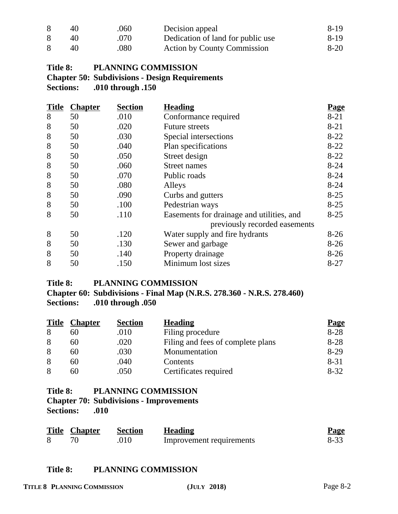| 40 | .060     | Decision appeal                    | 8-19   |
|----|----------|------------------------------------|--------|
| 40 | .070     | Dedication of land for public use  | 8-19   |
| 40 | $.080$ . | <b>Action by County Commission</b> | $8-20$ |

# **Title 8: PLANNING COMMISSION Chapter 50: Subdivisions - Design Requirements Sections: .010 through .150**

| <b>Title</b> | <b>Chapter</b> | <b>Section</b> | <b>Heading</b>                            | <b>Page</b> |
|--------------|----------------|----------------|-------------------------------------------|-------------|
| 8            | 50             | .010           | Conformance required                      | $8 - 21$    |
| 8            | 50             | .020           | <b>Future streets</b>                     | $8 - 21$    |
| 8            | 50             | .030           | Special intersections                     | $8 - 22$    |
| 8            | 50             | .040           | Plan specifications                       | $8 - 22$    |
| 8            | 50             | .050           | Street design                             | $8 - 22$    |
| 8            | 50             | .060           | Street names                              | $8 - 24$    |
| 8            | 50             | .070           | Public roads                              | $8 - 24$    |
| 8            | 50             | .080           | Alleys                                    | $8 - 24$    |
| 8            | 50             | .090           | Curbs and gutters                         | $8 - 25$    |
| 8            | 50             | .100           | Pedestrian ways                           | $8 - 25$    |
| 8            | 50             | .110           | Easements for drainage and utilities, and | $8 - 25$    |
|              |                |                | previously recorded easements             |             |
| 8            | 50             | .120           | Water supply and fire hydrants            | $8-26$      |
| 8            | 50             | .130           | Sewer and garbage                         | $8-26$      |
| 8            | 50             | .140           | Property drainage                         | $8-26$      |
| 8            | 50             | .150           | Minimum lost sizes                        | $8 - 27$    |

## **Title 8: PLANNING COMMISSION**

**Chapter 60: Subdivisions - Final Map (N.R.S. 278.360 - N.R.S. 278.460) Sections: .010 through .050**

| <b>Title</b> | <b>Chapter</b> | <b>Section</b> | <b>Heading</b>                    | <b>Page</b> |
|--------------|----------------|----------------|-----------------------------------|-------------|
| 8            | 60             | .010           | Filing procedure                  | $8 - 28$    |
| 8            | 60             | .020           | Filing and fees of complete plans | $8 - 28$    |
| 8            | 60             | .030           | Monumentation                     | $8-29$      |
| 8            | 60             | .040           | Contents                          | $8 - 31$    |
| 8            | 60             | .050           | Certificates required             | $8 - 32$    |

# **Title 8: PLANNING COMMISSION**

# **Chapter 70: Subdivisions - Improvements**

**Sections: .010**

| <b>Title Chapter</b> | Section | <b>Heading</b>           | <b>Page</b> |
|----------------------|---------|--------------------------|-------------|
|                      | .010    | Improvement requirements | $8 - 33$    |

## **Title 8: PLANNING COMMISSION**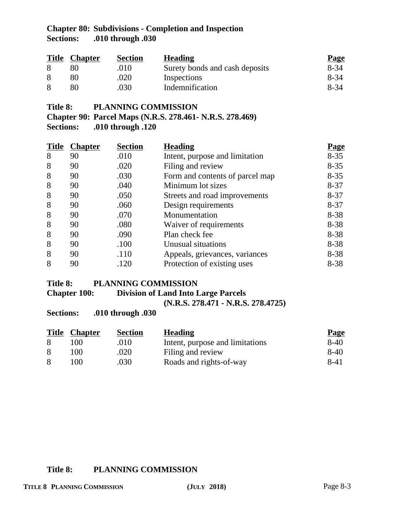# **Chapter 80: Subdivisions - Completion and Inspection Sections: .010 through .030**

| <b>Title</b> | <b>Chapter</b> | <b>Section</b> | <b>Heading</b>                 | <b>Page</b> |
|--------------|----------------|----------------|--------------------------------|-------------|
|              |                | .010           | Surety bonds and cash deposits | $8 - 34$    |
|              |                | .020           | Inspections                    | 8-34        |
|              | 80             | .030           | Indemnification                | 8-34        |

**Title 8: PLANNING COMMISSION**

**Chapter 90: Parcel Maps (N.R.S. 278.461- N.R.S. 278.469) Sections: .010 through .120**

|   | <b>Title Chapter</b> | <b>Section</b> | <b>Heading</b>                  | <b>Page</b> |
|---|----------------------|----------------|---------------------------------|-------------|
| 8 | 90                   | .010           | Intent, purpose and limitation  | $8 - 35$    |
| 8 | 90                   | .020           | Filing and review               | $8 - 35$    |
| 8 | 90                   | .030           | Form and contents of parcel map | $8 - 35$    |
| 8 | 90                   | .040           | Minimum lot sizes               | $8 - 37$    |
| 8 | 90                   | .050           | Streets and road improvements   | $8 - 37$    |
| 8 | 90                   | .060           | Design requirements             | $8 - 37$    |
| 8 | 90                   | .070           | Monumentation                   | $8 - 38$    |
| 8 | 90                   | .080           | Waiver of requirements          | $8 - 38$    |
| 8 | 90                   | .090           | Plan check fee                  | $8 - 38$    |
| 8 | 90                   | .100           | Unusual situations              | $8 - 38$    |
| 8 | 90                   | .110           | Appeals, grievances, variances  | $8 - 38$    |
| 8 | 90                   | .120           | Protection of existing uses     | $8 - 38$    |

#### **Title 8: PLANNING COMMISSION**

**Chapter 100: Division of Land Into Large Parcels**

**(N.R.S. 278.471 - N.R.S. 278.4725)**

**Sections: .010 through .030**

| <b>Title</b> | <b>Chapter</b> | <b>Section</b> | <b>Heading</b>                  | <b>Page</b> |
|--------------|----------------|----------------|---------------------------------|-------------|
|              | 00             | .010           | Intent, purpose and limitations | $8-40$      |
| 8            | 00             | .020           | Filing and review               | $8-40$      |
| 8            | $($ $)($       | .030           | Roads and rights-of-way         | 8-41        |

## **Title 8: PLANNING COMMISSION**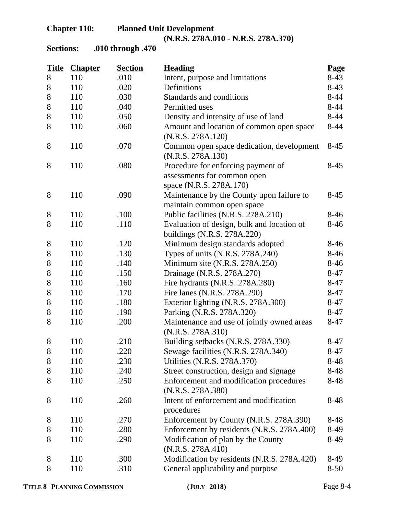# **Chapter 110: Planned Unit Development (N.R.S. 278A.010 - N.R.S. 278A.370)**

**Sections: .010 through .470**

| <b>Title</b> | <b>Chapter</b> | <b>Section</b> | <b>Heading</b>                                                                               | Page     |
|--------------|----------------|----------------|----------------------------------------------------------------------------------------------|----------|
| 8            | 110            | .010           | Intent, purpose and limitations                                                              | $8-43$   |
| 8            | 110            | .020           | Definitions                                                                                  | $8-43$   |
| 8            | 110            | .030           | Standards and conditions                                                                     | $8 - 44$ |
| 8            | 110            | .040           | Permitted uses                                                                               | $8 - 44$ |
| 8            | 110            | .050           | Density and intensity of use of land                                                         | $8-44$   |
| 8            | 110            | .060           | Amount and location of common open space<br>(N.R.S. 278A.120)                                | $8-44$   |
| 8            | 110            | .070           | Common open space dedication, development<br>(N.R.S. 278A.130)                               | $8-45$   |
| 8            | 110            | .080           | Procedure for enforcing payment of<br>assessments for common open<br>space (N.R.S. 278A.170) | $8-45$   |
| 8            | 110            | .090           | Maintenance by the County upon failure to<br>maintain common open space                      | $8-45$   |
| 8            | 110            | .100           | Public facilities (N.R.S. 278A.210)                                                          | $8-46$   |
| 8            | 110            | .110           | Evaluation of design, bulk and location of<br>buildings (N.R.S. 278A.220)                    | $8-46$   |
| 8            | 110            | .120           | Minimum design standards adopted                                                             | $8-46$   |
| 8            | 110            | .130           | Types of units (N.R.S. 278A.240)                                                             | $8-46$   |
| 8            | 110            | .140           | Minimum site (N.R.S. 278A.250)                                                               | $8-46$   |
| $8\,$        | 110            | .150           | Drainage (N.R.S. 278A.270)                                                                   | $8 - 47$ |
| $8\,$        | 110            | .160           | Fire hydrants (N.R.S. 278A.280)                                                              | $8 - 47$ |
| $8\,$        | 110            | .170           | Fire lanes (N.R.S. 278A.290)                                                                 | $8-47$   |
| $8\,$        | 110            | .180           | Exterior lighting (N.R.S. 278A.300)                                                          | $8-47$   |
| $8\,$        | 110            | .190           | Parking (N.R.S. 278A.320)                                                                    | $8 - 47$ |
| 8            | 110            | .200           | Maintenance and use of jointly owned areas<br>(N.R.S. 278A.310)                              | $8-47$   |
| $8\,$        | 110            | .210           | Building setbacks (N.R.S. 278A.330)                                                          | $8-47$   |
| 8            | 110            | 220            | Sewage facilities (N.R.S. 278A.340)                                                          | $8 - 47$ |
| 8            | 110            | .230           | Utilities (N.R.S. 278A.370)                                                                  | $8-48$   |
| 8            | 110            | .240           | Street construction, design and signage                                                      | 8-48     |
| 8            | 110            | .250           | Enforcement and modification procedures<br>(N.R.S. 278A.380)                                 | 8-48     |
| 8            | 110            | .260           | Intent of enforcement and modification<br>procedures                                         | 8-48     |
| 8            | 110            | .270           | Enforcement by County (N.R.S. 278A.390)                                                      | 8-48     |
| 8            | 110            | .280           | Enforcement by residents (N.R.S. 278A.400)                                                   | 8-49     |
| 8            | 110            | .290           | Modification of plan by the County<br>(N.R.S. 278A.410)                                      | 8-49     |
| 8            | 110            | .300           | Modification by residents (N.R.S. 278A.420)                                                  | 8-49     |
| 8            | 110            | .310           | General applicability and purpose                                                            | $8 - 50$ |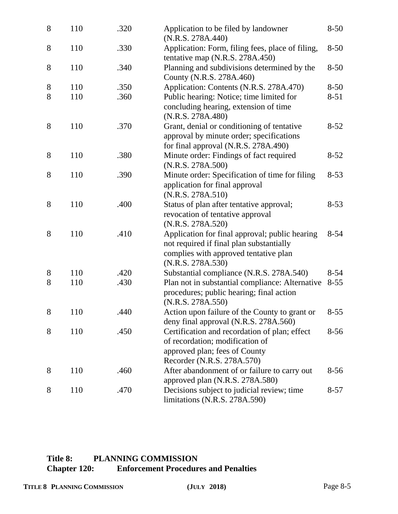| 8 | 110 | .320 | Application to be filed by landowner<br>(N.R.S. 278A.440)                                                                                                | $8 - 50$ |
|---|-----|------|----------------------------------------------------------------------------------------------------------------------------------------------------------|----------|
| 8 | 110 | .330 | Application: Form, filing fees, place of filing,<br>tentative map (N.R.S. 278A.450)                                                                      | $8 - 50$ |
| 8 | 110 | .340 | Planning and subdivisions determined by the<br>County (N.R.S. 278A.460)                                                                                  | $8 - 50$ |
| 8 | 110 | .350 | Application: Contents (N.R.S. 278A.470)                                                                                                                  | $8 - 50$ |
| 8 | 110 | .360 | Public hearing: Notice; time limited for<br>concluding hearing, extension of time<br>(N.R.S. 278A.480)                                                   | $8 - 51$ |
| 8 | 110 | .370 | Grant, denial or conditioning of tentative<br>approval by minute order; specifications<br>for final approval (N.R.S. 278A.490)                           | $8 - 52$ |
| 8 | 110 | .380 | Minute order: Findings of fact required<br>(N.R.S. 278A.500)                                                                                             | $8 - 52$ |
| 8 | 110 | .390 | Minute order: Specification of time for filing<br>application for final approval<br>(N.R.S. 278A.510)                                                    | $8 - 53$ |
| 8 | 110 | .400 | Status of plan after tentative approval;<br>revocation of tentative approval<br>(N.R.S. 278A.520)                                                        | $8 - 53$ |
| 8 | 110 | .410 | Application for final approval; public hearing<br>not required if final plan substantially<br>complies with approved tentative plan<br>(N.R.S. 278A.530) | $8 - 54$ |
| 8 | 110 | .420 | Substantial compliance (N.R.S. 278A.540)                                                                                                                 | $8 - 54$ |
| 8 | 110 | .430 | Plan not in substantial compliance: Alternative<br>procedures; public hearing; final action<br>(N.R.S. 278A.550)                                         | $8 - 55$ |
| 8 | 110 | .440 | Action upon failure of the County to grant or<br>deny final approval (N.R.S. 278A.560)                                                                   | $8 - 55$ |
| 8 | 110 | .450 | Certification and recordation of plan; effect<br>of recordation; modification of<br>approved plan; fees of County<br>Recorder (N.R.S. 278A.570)          | $8 - 56$ |
| 8 | 110 | .460 | After abandonment of or failure to carry out<br>approved plan (N.R.S. 278A.580)                                                                          | $8 - 56$ |
| 8 | 110 | .470 | Decisions subject to judicial review; time<br>limitations (N.R.S. 278A.590)                                                                              | $8 - 57$ |

# **Title 8: PLANNING COMMISSION Chapter 120: Enforcement Procedures and Penalties**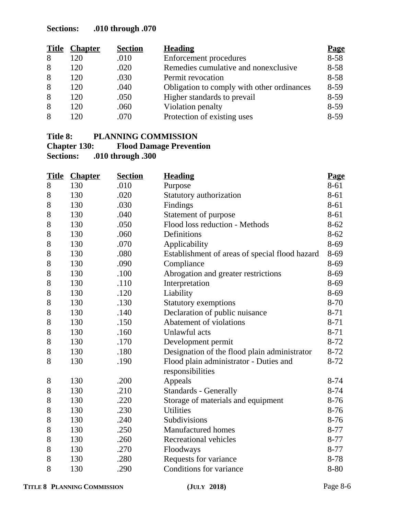# **Sections: .010 through .070**

| <b>Title</b> | <b>Chapter</b> | <b>Section</b> | <b>Heading</b>                             | <b>Page</b> |
|--------------|----------------|----------------|--------------------------------------------|-------------|
| 8            | 120            | .010           | Enforcement procedures                     | $8 - 58$    |
| 8            | 120            | .020           | Remedies cumulative and nonexclusive       | $8 - 58$    |
| 8            | 120            | .030           | Permit revocation                          | $8 - 58$    |
| 8            | 120            | .040           | Obligation to comply with other ordinances | $8-59$      |
| 8            | 120            | .050           | Higher standards to prevail                | $8 - 59$    |
| 8            | 120            | .060           | Violation penalty                          | $8-59$      |
| 8            | 120            | .070           | Protection of existing uses                | $8-59$      |

# **Title 8: PLANNING COMMISSION**

### **Chapter 130:** Flood Damage Prevention<br>Sections: .010 through .300 **Sections: .010 through .300**

|       | <b>Title Chapter</b> | <b>Section</b> | <b>Heading</b>                                             | <b>Page</b> |
|-------|----------------------|----------------|------------------------------------------------------------|-------------|
| 8     | 130                  | .010           | Purpose                                                    | 8-61        |
| 8     | 130                  | .020           | Statutory authorization                                    | 8-61        |
| 8     | 130                  | .030           | Findings                                                   | 8-61        |
| 8     | 130                  | .040           | Statement of purpose                                       | 8-61        |
| 8     | 130                  | .050           | Flood loss reduction - Methods                             | $8 - 62$    |
| 8     | 130                  | .060           | Definitions                                                | $8 - 62$    |
| 8     | 130                  | .070           | Applicability                                              | 8-69        |
| 8     | 130                  | .080           | Establishment of areas of special flood hazard             | 8-69        |
| 8     | 130                  | .090           | Compliance                                                 | 8-69        |
| 8     | 130                  | .100           | Abrogation and greater restrictions                        | 8-69        |
| 8     | 130                  | .110           | Interpretation                                             | 8-69        |
| $8\,$ | 130                  | .120           | Liability                                                  | 8-69        |
| 8     | 130                  | .130           | Statutory exemptions                                       | $8 - 70$    |
| 8     | 130                  | .140           | Declaration of public nuisance                             | $8 - 71$    |
| 8     | 130                  | .150           | Abatement of violations                                    | $8 - 71$    |
| 8     | 130                  | .160           | Unlawful acts                                              | $8 - 71$    |
| $8\,$ | 130                  | .170           | Development permit                                         | $8 - 72$    |
| 8     | 130                  | .180           | Designation of the flood plain administrator               | $8-72$      |
| 8     | 130                  | .190           | Flood plain administrator - Duties and<br>responsibilities | $8-72$      |
| $8\,$ | 130                  | .200           | Appeals                                                    | $8 - 74$    |
| $8\,$ | 130                  | .210           | <b>Standards - Generally</b>                               | 8-74        |
| 8     | 130                  | .220           | Storage of materials and equipment                         | $8-76$      |
| 8     | 130                  | .230           | <b>Utilities</b>                                           | $8-76$      |
| 8     | 130                  | .240           | Subdivisions                                               | $8-76$      |
| 8     | 130                  | .250           | <b>Manufactured</b> homes                                  | $8 - 77$    |
| $8\,$ | 130                  | .260           | Recreational vehicles                                      | 8-77        |
| 8     | 130                  | .270           | Floodways                                                  | $8 - 77$    |
| 8     | 130                  | .280           | Requests for variance                                      | 8-78        |
| 8     | 130                  | .290           | Conditions for variance                                    | 8-80        |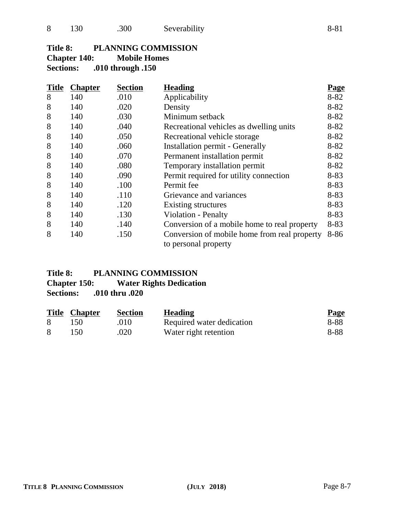# **Title 8: PLANNING COMMISSION**

**Chapter 140: Mobile Homes**

**Sections: .010 through .150**

| <b>Title</b> | <b>Chapter</b> | <b>Section</b> | <b>Heading</b>                                                       | <b>Page</b> |
|--------------|----------------|----------------|----------------------------------------------------------------------|-------------|
| 8            | 140            | .010           | Applicability                                                        | $8 - 82$    |
| 8            | 140            | .020           | Density                                                              | $8 - 82$    |
| 8            | 140            | .030           | Minimum setback                                                      | $8 - 82$    |
| 8            | 140            | .040           | Recreational vehicles as dwelling units                              | $8 - 82$    |
| 8            | 140            | .050           | Recreational vehicle storage                                         | $8 - 82$    |
| 8            | 140            | .060           | <b>Installation permit - Generally</b>                               | $8 - 82$    |
| 8            | 140            | .070           | Permanent installation permit                                        | $8 - 82$    |
| 8            | 140            | .080           | Temporary installation permit                                        | $8 - 82$    |
| 8            | 140            | .090           | Permit required for utility connection                               | 8-83        |
| 8            | 140            | .100           | Permit fee                                                           | $8 - 83$    |
| 8            | 140            | .110           | Grievance and variances                                              | $8 - 83$    |
| 8            | 140            | .120           | Existing structures                                                  | $8 - 83$    |
| 8            | 140            | .130           | <b>Violation - Penalty</b>                                           | $8 - 83$    |
| 8            | 140            | .140           | Conversion of a mobile home to real property                         | $8 - 83$    |
| 8            | 140            | .150           | Conversion of mobile home from real property<br>to personal property | 8-86        |

# Title 8: PLANNING COMMISSION<br>Chapter 150: Water Rights Dedication **Water Rights Dedication**

**Sections: .010 thru .020**

|   | <b>Title Chapter</b> | <b>Section</b> | <b>Heading</b>            | <b>Page</b> |
|---|----------------------|----------------|---------------------------|-------------|
| 8 | 150                  | .010           | Required water dedication | 8-88        |
|   | 150                  | .020           | Water right retention     | 8-88        |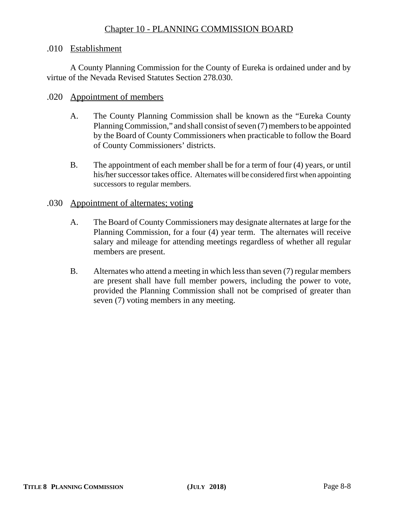# Chapter 10 - PLANNING COMMISSION BOARD

#### .010 Establishment

A County Planning Commission for the County of Eureka is ordained under and by virtue of the Nevada Revised Statutes Section 278.030.

#### .020 Appointment of members

- A. The County Planning Commission shall be known as the "Eureka County Planning Commission," and shall consist of seven (7) members to be appointed by the Board of County Commissioners when practicable to follow the Board of County Commissioners' districts.
- B. The appointment of each member shall be for a term of four (4) years, or until his/her successor takes office. Alternates will be considered first when appointing successors to regular members.

#### .030 Appointment of alternates; voting

- A. The Board of County Commissioners may designate alternates at large for the Planning Commission, for a four (4) year term. The alternates will receive salary and mileage for attending meetings regardless of whether all regular members are present.
- B. Alternates who attend a meeting in which less than seven (7) regular members are present shall have full member powers, including the power to vote, provided the Planning Commission shall not be comprised of greater than seven (7) voting members in any meeting.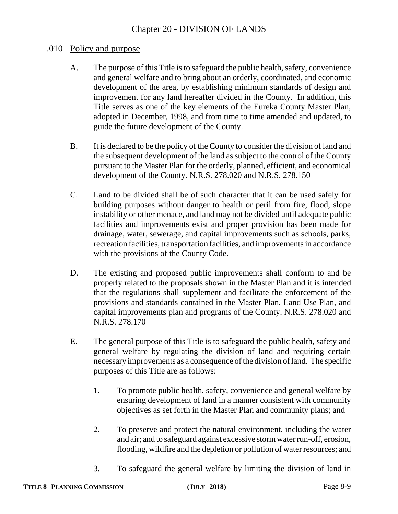# .010 Policy and purpose

- A. The purpose of this Title is to safeguard the public health, safety, convenience and general welfare and to bring about an orderly, coordinated, and economic development of the area, by establishing minimum standards of design and improvement for any land hereafter divided in the County. In addition, this Title serves as one of the key elements of the Eureka County Master Plan, adopted in December, 1998, and from time to time amended and updated, to guide the future development of the County.
- B. It is declared to be the policy of the County to consider the division of land and the subsequent development of the land as subject to the control of the County pursuant to the Master Plan for the orderly, planned, efficient, and economical development of the County. N.R.S. 278.020 and N.R.S. 278.150
- C. Land to be divided shall be of such character that it can be used safely for building purposes without danger to health or peril from fire, flood, slope instability or other menace, and land may not be divided until adequate public facilities and improvements exist and proper provision has been made for drainage, water, sewerage, and capital improvements such as schools, parks, recreation facilities, transportation facilities, and improvements in accordance with the provisions of the County Code.
- D. The existing and proposed public improvements shall conform to and be properly related to the proposals shown in the Master Plan and it is intended that the regulations shall supplement and facilitate the enforcement of the provisions and standards contained in the Master Plan, Land Use Plan, and capital improvements plan and programs of the County. N.R.S. 278.020 and N.R.S. 278.170
- E. The general purpose of this Title is to safeguard the public health, safety and general welfare by regulating the division of land and requiring certain necessary improvements as a consequence of the division of land. The specific purposes of this Title are as follows:
	- 1. To promote public health, safety, convenience and general welfare by ensuring development of land in a manner consistent with community objectives as set forth in the Master Plan and community plans; and
	- 2. To preserve and protect the natural environment, including the water and air; and to safeguard against excessive storm water run-off, erosion, flooding, wildfire and the depletion or pollution of water resources; and
	- 3. To safeguard the general welfare by limiting the division of land in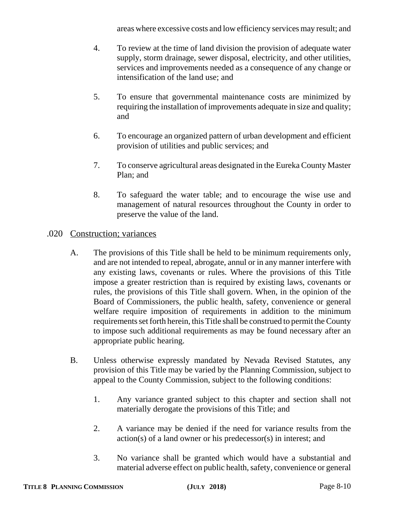areas where excessive costs and low efficiency services may result; and

- 4. To review at the time of land division the provision of adequate water supply, storm drainage, sewer disposal, electricity, and other utilities, services and improvements needed as a consequence of any change or intensification of the land use; and
- 5. To ensure that governmental maintenance costs are minimized by requiring the installation of improvements adequate in size and quality; and
- 6. To encourage an organized pattern of urban development and efficient provision of utilities and public services; and
- 7. To conserve agricultural areas designated in the Eureka County Master Plan; and
- 8. To safeguard the water table; and to encourage the wise use and management of natural resources throughout the County in order to preserve the value of the land.

# .020 Construction; variances

- A. The provisions of this Title shall be held to be minimum requirements only, and are not intended to repeal, abrogate, annul or in any manner interfere with any existing laws, covenants or rules. Where the provisions of this Title impose a greater restriction than is required by existing laws, covenants or rules, the provisions of this Title shall govern. When, in the opinion of the Board of Commissioners, the public health, safety, convenience or general welfare require imposition of requirements in addition to the minimum requirements set forth herein, this Title shall be construed to permit the County to impose such additional requirements as may be found necessary after an appropriate public hearing.
- B. Unless otherwise expressly mandated by Nevada Revised Statutes, any provision of this Title may be varied by the Planning Commission, subject to appeal to the County Commission, subject to the following conditions:
	- 1. Any variance granted subject to this chapter and section shall not materially derogate the provisions of this Title; and
	- 2. A variance may be denied if the need for variance results from the action(s) of a land owner or his predecessor(s) in interest; and
	- 3. No variance shall be granted which would have a substantial and material adverse effect on public health, safety, convenience or general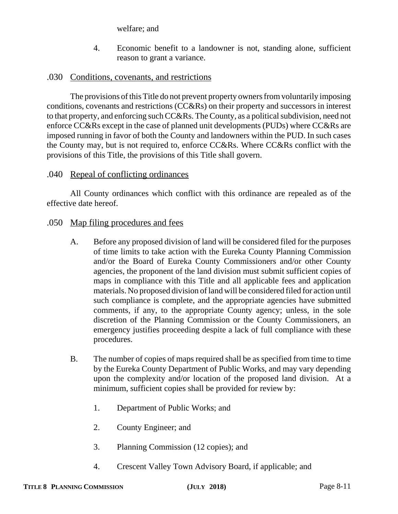welfare; and

4. Economic benefit to a landowner is not, standing alone, sufficient reason to grant a variance.

# .030 Conditions, covenants, and restrictions

The provisions of this Title do not prevent property owners from voluntarily imposing conditions, covenants and restrictions (CC&Rs) on their property and successors in interest to that property, and enforcing such CC&Rs. The County, as a political subdivision, need not enforce CC&Rs except in the case of planned unit developments (PUDs) where CC&Rs are imposed running in favor of both the County and landowners within the PUD. In such cases the County may, but is not required to, enforce CC&Rs. Where CC&Rs conflict with the provisions of this Title, the provisions of this Title shall govern.

# .040 Repeal of conflicting ordinances

All County ordinances which conflict with this ordinance are repealed as of the effective date hereof.

## .050 Map filing procedures and fees

- A. Before any proposed division of land will be considered filed for the purposes of time limits to take action with the Eureka County Planning Commission and/or the Board of Eureka County Commissioners and/or other County agencies, the proponent of the land division must submit sufficient copies of maps in compliance with this Title and all applicable fees and application materials. No proposed division of land will be considered filed for action until such compliance is complete, and the appropriate agencies have submitted comments, if any, to the appropriate County agency; unless, in the sole discretion of the Planning Commission or the County Commissioners, an emergency justifies proceeding despite a lack of full compliance with these procedures.
- B. The number of copies of maps required shall be as specified from time to time by the Eureka County Department of Public Works, and may vary depending upon the complexity and/or location of the proposed land division. At a minimum, sufficient copies shall be provided for review by:
	- 1. Department of Public Works; and
	- 2. County Engineer; and
	- 3. Planning Commission (12 copies); and
	- 4. Crescent Valley Town Advisory Board, if applicable; and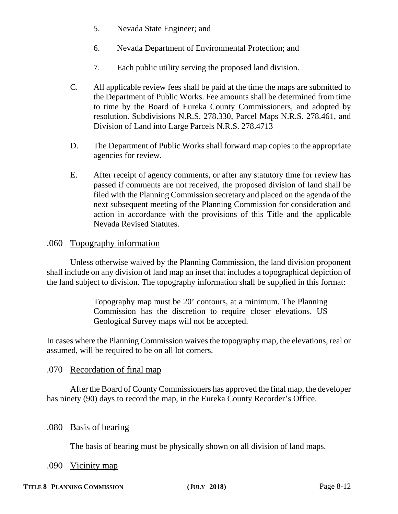- 5. Nevada State Engineer; and
- 6. Nevada Department of Environmental Protection; and
- 7. Each public utility serving the proposed land division.
- C. All applicable review fees shall be paid at the time the maps are submitted to the Department of Public Works. Fee amounts shall be determined from time to time by the Board of Eureka County Commissioners, and adopted by resolution. Subdivisions N.R.S. 278.330, Parcel Maps N.R.S. 278.461, and Division of Land into Large Parcels N.R.S. 278.4713
- D. The Department of Public Works shall forward map copies to the appropriate agencies for review.
- E. After receipt of agency comments, or after any statutory time for review has passed if comments are not received, the proposed division of land shall be filed with the Planning Commission secretary and placed on the agenda of the next subsequent meeting of the Planning Commission for consideration and action in accordance with the provisions of this Title and the applicable Nevada Revised Statutes.

#### .060 Topography information

Unless otherwise waived by the Planning Commission, the land division proponent shall include on any division of land map an inset that includes a topographical depiction of the land subject to division. The topography information shall be supplied in this format:

> Topography map must be 20' contours, at a minimum. The Planning Commission has the discretion to require closer elevations. US Geological Survey maps will not be accepted.

In cases where the Planning Commission waives the topography map, the elevations, real or assumed, will be required to be on all lot corners.

#### .070 Recordation of final map

After the Board of County Commissioners has approved the final map, the developer has ninety (90) days to record the map, in the Eureka County Recorder's Office.

#### .080 Basis of bearing

The basis of bearing must be physically shown on all division of land maps.

#### .090 <u>Vicinity map</u>

#### TITLE 8 PLANNING COMMISSION **(JULY 2018)** Page 8-12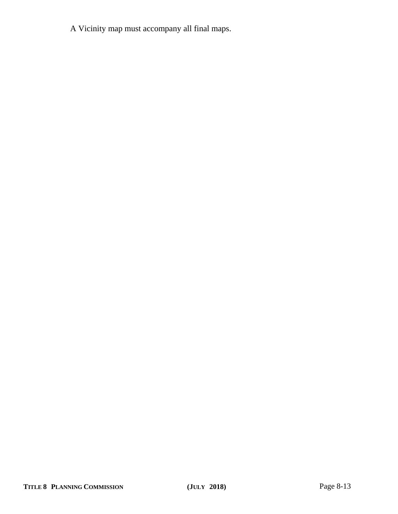A Vicinity map must accompany all final maps.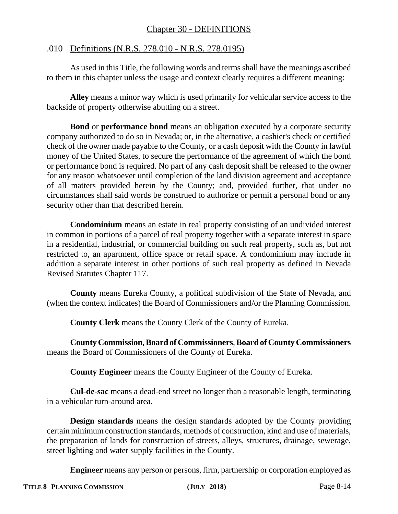# Chapter 30 - DEFINITIONS

# .010 Definitions (N.R.S. 278.010 - N.R.S. 278.0195)

As used in this Title, the following words and terms shall have the meanings ascribed to them in this chapter unless the usage and context clearly requires a different meaning:

**Alley** means a minor way which is used primarily for vehicular service access to the backside of property otherwise abutting on a street.

**Bond** or **performance bond** means an obligation executed by a corporate security company authorized to do so in Nevada; or, in the alternative, a cashier's check or certified check of the owner made payable to the County, or a cash deposit with the County in lawful money of the United States, to secure the performance of the agreement of which the bond or performance bond is required. No part of any cash deposit shall be released to the owner for any reason whatsoever until completion of the land division agreement and acceptance of all matters provided herein by the County; and, provided further, that under no circumstances shall said words be construed to authorize or permit a personal bond or any security other than that described herein.

**Condominium** means an estate in real property consisting of an undivided interest in common in portions of a parcel of real property together with a separate interest in space in a residential, industrial, or commercial building on such real property, such as, but not restricted to, an apartment, office space or retail space. A condominium may include in addition a separate interest in other portions of such real property as defined in Nevada Revised Statutes Chapter 117.

**County** means Eureka County, a political subdivision of the State of Nevada, and (when the context indicates) the Board of Commissioners and/or the Planning Commission.

**County Clerk** means the County Clerk of the County of Eureka.

**County Commission**, **Board of Commissioners**, **Board of County Commissioners** means the Board of Commissioners of the County of Eureka.

**County Engineer** means the County Engineer of the County of Eureka.

**Cul-de-sac** means a dead-end street no longer than a reasonable length, terminating in a vehicular turn-around area.

**Design standards** means the design standards adopted by the County providing certain minimum construction standards, methods of construction, kind and use of materials, the preparation of lands for construction of streets, alleys, structures, drainage, sewerage, street lighting and water supply facilities in the County.

**Engineer** means any person or persons, firm, partnership or corporation employed as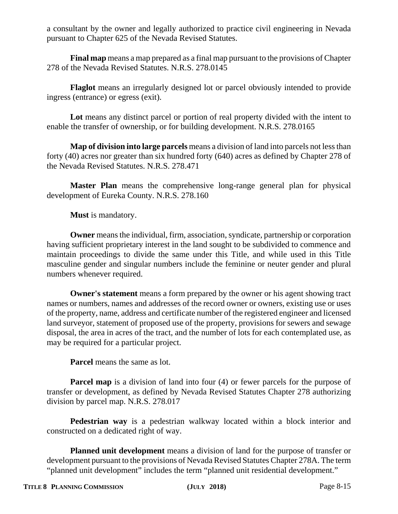a consultant by the owner and legally authorized to practice civil engineering in Nevada pursuant to Chapter 625 of the Nevada Revised Statutes.

**Final map** means a map prepared as a final map pursuant to the provisions of Chapter 278 of the Nevada Revised Statutes. N.R.S. 278.0145

**Flaglot** means an irregularly designed lot or parcel obviously intended to provide ingress (entrance) or egress (exit).

**Lot** means any distinct parcel or portion of real property divided with the intent to enable the transfer of ownership, or for building development. N.R.S. 278.0165

**Map of division into large parcels** means a division of land into parcels not less than forty (40) acres nor greater than six hundred forty (640) acres as defined by Chapter 278 of the Nevada Revised Statutes. N.R.S. 278.471

**Master Plan** means the comprehensive long-range general plan for physical development of Eureka County. N.R.S. 278.160

**Must** is mandatory.

**Owner** means the individual, firm, association, syndicate, partnership or corporation having sufficient proprietary interest in the land sought to be subdivided to commence and maintain proceedings to divide the same under this Title, and while used in this Title masculine gender and singular numbers include the feminine or neuter gender and plural numbers whenever required.

**Owner's statement** means a form prepared by the owner or his agent showing tract names or numbers, names and addresses of the record owner or owners, existing use or uses of the property, name, address and certificate number of the registered engineer and licensed land surveyor, statement of proposed use of the property, provisions for sewers and sewage disposal, the area in acres of the tract, and the number of lots for each contemplated use, as may be required for a particular project.

**Parcel** means the same as lot.

**Parcel map** is a division of land into four (4) or fewer parcels for the purpose of transfer or development, as defined by Nevada Revised Statutes Chapter 278 authorizing division by parcel map. N.R.S. 278.017

**Pedestrian way** is a pedestrian walkway located within a block interior and constructed on a dedicated right of way.

**Planned unit development** means a division of land for the purpose of transfer or development pursuant to the provisions of Nevada Revised Statutes Chapter 278A. The term "planned unit development" includes the term "planned unit residential development."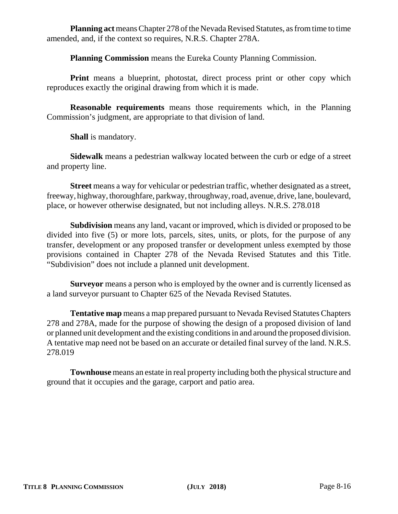**Planning act** means Chapter 278 of the Nevada Revised Statutes, as from time to time amended, and, if the context so requires, N.R.S. Chapter 278A.

**Planning Commission** means the Eureka County Planning Commission.

**Print** means a blueprint, photostat, direct process print or other copy which reproduces exactly the original drawing from which it is made.

**Reasonable requirements** means those requirements which, in the Planning Commission's judgment, are appropriate to that division of land.

**Shall** is mandatory.

**Sidewalk** means a pedestrian walkway located between the curb or edge of a street and property line.

**Street** means a way for vehicular or pedestrian traffic, whether designated as a street, freeway, highway, thoroughfare, parkway, throughway, road, avenue, drive, lane, boulevard, place, or however otherwise designated, but not including alleys. N.R.S. 278.018

**Subdivision** means any land, vacant or improved, which is divided or proposed to be divided into five (5) or more lots, parcels, sites, units, or plots, for the purpose of any transfer, development or any proposed transfer or development unless exempted by those provisions contained in Chapter 278 of the Nevada Revised Statutes and this Title. "Subdivision" does not include a planned unit development.

**Surveyor** means a person who is employed by the owner and is currently licensed as a land surveyor pursuant to Chapter 625 of the Nevada Revised Statutes.

**Tentative map** means a map prepared pursuant to Nevada Revised Statutes Chapters 278 and 278A, made for the purpose of showing the design of a proposed division of land or planned unit development and the existing conditions in and around the proposed division. A tentative map need not be based on an accurate or detailed final survey of the land. N.R.S. 278.019

**Townhouse** means an estate in real property including both the physical structure and ground that it occupies and the garage, carport and patio area.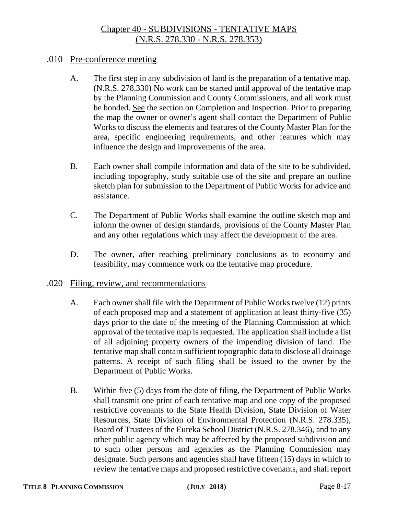# Chapter 40 - SUBDIVISIONS - TENTATIVE MAPS (N.R.S. 278.330 - N.R.S. 278.353)

#### .010 Pre-conference meeting

- A. The first step in any subdivision of land is the preparation of a tentative map. (N.R.S. 278.330) No work can be started until approval of the tentative map by the Planning Commission and County Commissioners, and all work must be bonded. See the section on Completion and Inspection. Prior to preparing the map the owner or owner's agent shall contact the Department of Public Works to discuss the elements and features of the County Master Plan for the area, specific engineering requirements, and other features which may influence the design and improvements of the area.
- B. Each owner shall compile information and data of the site to be subdivided, including topography, study suitable use of the site and prepare an outline sketch plan for submission to the Department of Public Works for advice and assistance.
- C. The Department of Public Works shall examine the outline sketch map and inform the owner of design standards, provisions of the County Master Plan and any other regulations which may affect the development of the area.
- D. The owner, after reaching preliminary conclusions as to economy and feasibility, may commence work on the tentative map procedure.

#### .020 Filing, review, and recommendations

- A. Each owner shall file with the Department of Public Works twelve (12) prints of each proposed map and a statement of application at least thirty-five (35) days prior to the date of the meeting of the Planning Commission at which approval of the tentative map is requested. The application shall include a list of all adjoining property owners of the impending division of land. The tentative map shall contain sufficient topographic data to disclose all drainage patterns. A receipt of such filing shall be issued to the owner by the Department of Public Works.
- B. Within five (5) days from the date of filing, the Department of Public Works shall transmit one print of each tentative map and one copy of the proposed restrictive covenants to the State Health Division, State Division of Water Resources, State Division of Environmental Protection (N.R.S. 278.335), Board of Trustees of the Eureka School District (N.R.S. 278.346), and to any other public agency which may be affected by the proposed subdivision and to such other persons and agencies as the Planning Commission may designate. Such persons and agencies shall have fifteen (15) days in which to review the tentative maps and proposed restrictive covenants, and shall report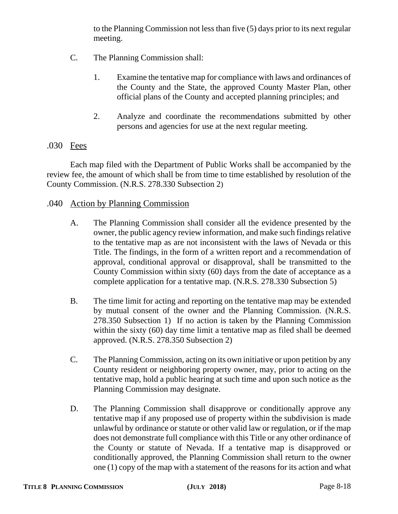to the Planning Commission not less than five (5) days prior to its next regular meeting.

- C. The Planning Commission shall:
	- 1. Examine the tentative map for compliance with laws and ordinances of the County and the State, the approved County Master Plan, other official plans of the County and accepted planning principles; and
	- 2. Analyze and coordinate the recommendations submitted by other persons and agencies for use at the next regular meeting.

# .030 Fees

Each map filed with the Department of Public Works shall be accompanied by the review fee, the amount of which shall be from time to time established by resolution of the County Commission. (N.R.S. 278.330 Subsection 2)

# .040 Action by Planning Commission

- A. The Planning Commission shall consider all the evidence presented by the owner, the public agency review information, and make such findings relative to the tentative map as are not inconsistent with the laws of Nevada or this Title. The findings, in the form of a written report and a recommendation of approval, conditional approval or disapproval, shall be transmitted to the County Commission within sixty (60) days from the date of acceptance as a complete application for a tentative map. (N.R.S. 278.330 Subsection 5)
- B. The time limit for acting and reporting on the tentative map may be extended by mutual consent of the owner and the Planning Commission. (N.R.S. 278.350 Subsection 1) If no action is taken by the Planning Commission within the sixty (60) day time limit a tentative map as filed shall be deemed approved. (N.R.S. 278.350 Subsection 2)
- C. The Planning Commission, acting on its own initiative or upon petition by any County resident or neighboring property owner, may, prior to acting on the tentative map, hold a public hearing at such time and upon such notice as the Planning Commission may designate.
- D. The Planning Commission shall disapprove or conditionally approve any tentative map if any proposed use of property within the subdivision is made unlawful by ordinance or statute or other valid law or regulation, or if the map does not demonstrate full compliance with this Title or any other ordinance of the County or statute of Nevada. If a tentative map is disapproved or conditionally approved, the Planning Commission shall return to the owner one (1) copy of the map with a statement of the reasons for its action and what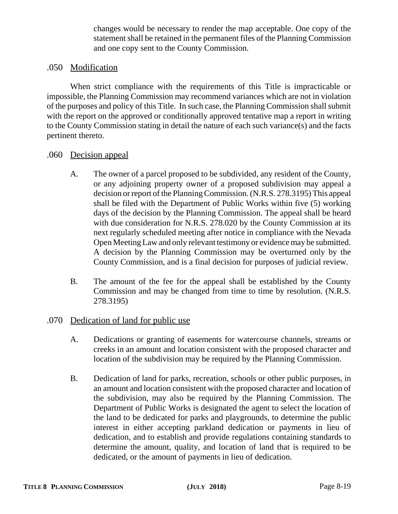changes would be necessary to render the map acceptable. One copy of the statement shall be retained in the permanent files of the Planning Commission and one copy sent to the County Commission.

## .050 Modification

When strict compliance with the requirements of this Title is impracticable or impossible, the Planning Commission may recommend variances which are not in violation of the purposes and policy of this Title. In such case, the Planning Commission shall submit with the report on the approved or conditionally approved tentative map a report in writing to the County Commission stating in detail the nature of each such variance(s) and the facts pertinent thereto.

#### .060 Decision appeal

- A. The owner of a parcel proposed to be subdivided, any resident of the County, or any adjoining property owner of a proposed subdivision may appeal a decision or report of the Planning Commission. (N.R.S. 278.3195) This appeal shall be filed with the Department of Public Works within five (5) working days of the decision by the Planning Commission. The appeal shall be heard with due consideration for N.R.S. 278.020 by the County Commission at its next regularly scheduled meeting after notice in compliance with the Nevada Open Meeting Law and only relevant testimony or evidence may be submitted. A decision by the Planning Commission may be overturned only by the County Commission, and is a final decision for purposes of judicial review.
- B. The amount of the fee for the appeal shall be established by the County Commission and may be changed from time to time by resolution. (N.R.S. 278.3195)
- .070 Dedication of land for public use
	- A. Dedications or granting of easements for watercourse channels, streams or creeks in an amount and location consistent with the proposed character and location of the subdivision may be required by the Planning Commission.
	- B. Dedication of land for parks, recreation, schools or other public purposes, in an amount and location consistent with the proposed character and location of the subdivision, may also be required by the Planning Commission. The Department of Public Works is designated the agent to select the location of the land to be dedicated for parks and playgrounds, to determine the public interest in either accepting parkland dedication or payments in lieu of dedication, and to establish and provide regulations containing standards to determine the amount, quality, and location of land that is required to be dedicated, or the amount of payments in lieu of dedication.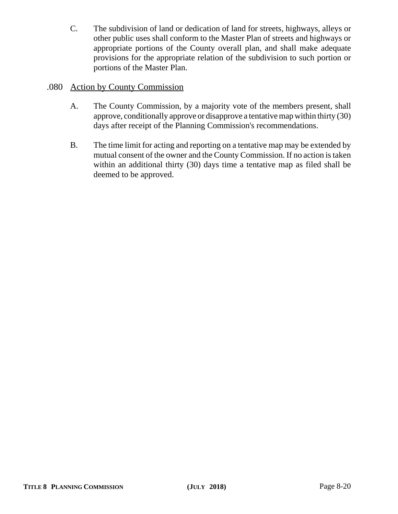C. The subdivision of land or dedication of land for streets, highways, alleys or other public uses shall conform to the Master Plan of streets and highways or appropriate portions of the County overall plan, and shall make adequate provisions for the appropriate relation of the subdivision to such portion or portions of the Master Plan.

# .080 Action by County Commission

- A. The County Commission, by a majority vote of the members present, shall approve, conditionally approve or disapprove a tentative map within thirty (30) days after receipt of the Planning Commission's recommendations.
- B. The time limit for acting and reporting on a tentative map may be extended by mutual consent of the owner and the County Commission. If no action is taken within an additional thirty (30) days time a tentative map as filed shall be deemed to be approved.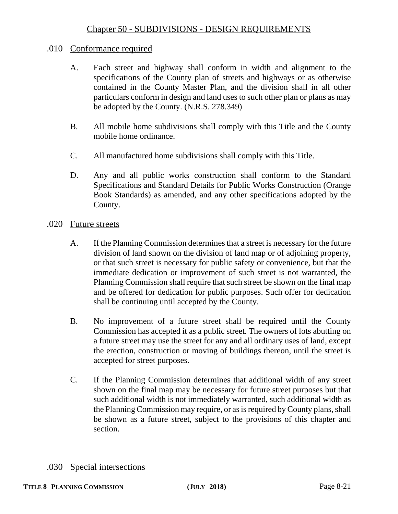# Chapter 50 - SUBDIVISIONS - DESIGN REQUIREMENTS

#### .010 Conformance required

- A. Each street and highway shall conform in width and alignment to the specifications of the County plan of streets and highways or as otherwise contained in the County Master Plan, and the division shall in all other particulars conform in design and land uses to such other plan or plans as may be adopted by the County. (N.R.S. 278.349)
- B. All mobile home subdivisions shall comply with this Title and the County mobile home ordinance.
- C. All manufactured home subdivisions shall comply with this Title.
- D. Any and all public works construction shall conform to the Standard Specifications and Standard Details for Public Works Construction (Orange Book Standards) as amended, and any other specifications adopted by the County.

#### .020 Future streets

- A. If the Planning Commission determines that a street is necessary for the future division of land shown on the division of land map or of adjoining property, or that such street is necessary for public safety or convenience, but that the immediate dedication or improvement of such street is not warranted, the Planning Commission shall require that such street be shown on the final map and be offered for dedication for public purposes. Such offer for dedication shall be continuing until accepted by the County.
- B. No improvement of a future street shall be required until the County Commission has accepted it as a public street. The owners of lots abutting on a future street may use the street for any and all ordinary uses of land, except the erection, construction or moving of buildings thereon, until the street is accepted for street purposes.
- C. If the Planning Commission determines that additional width of any street shown on the final map may be necessary for future street purposes but that such additional width is not immediately warranted, such additional width as the Planning Commission may require, or as is required by County plans, shall be shown as a future street, subject to the provisions of this chapter and section.
- .030 Special intersections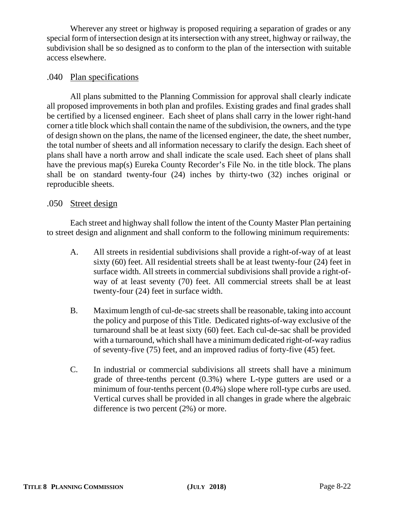Wherever any street or highway is proposed requiring a separation of grades or any special form of intersection design at its intersection with any street, highway or railway, the subdivision shall be so designed as to conform to the plan of the intersection with suitable access elsewhere.

# .040 Plan specifications

All plans submitted to the Planning Commission for approval shall clearly indicate all proposed improvements in both plan and profiles. Existing grades and final grades shall be certified by a licensed engineer. Each sheet of plans shall carry in the lower right-hand corner a title block which shall contain the name of the subdivision, the owners, and the type of design shown on the plans, the name of the licensed engineer, the date, the sheet number, the total number of sheets and all information necessary to clarify the design. Each sheet of plans shall have a north arrow and shall indicate the scale used. Each sheet of plans shall have the previous map(s) Eureka County Recorder's File No. in the title block. The plans shall be on standard twenty-four (24) inches by thirty-two (32) inches original or reproducible sheets.

#### .050 Street design

Each street and highway shall follow the intent of the County Master Plan pertaining to street design and alignment and shall conform to the following minimum requirements:

- A. All streets in residential subdivisions shall provide a right-of-way of at least sixty (60) feet. All residential streets shall be at least twenty-four (24) feet in surface width. All streets in commercial subdivisions shall provide a right-ofway of at least seventy (70) feet. All commercial streets shall be at least twenty-four (24) feet in surface width.
- B. Maximum length of cul-de-sac streets shall be reasonable, taking into account the policy and purpose of this Title. Dedicated rights-of-way exclusive of the turnaround shall be at least sixty (60) feet. Each cul-de-sac shall be provided with a turnaround, which shall have a minimum dedicated right-of-way radius of seventy-five (75) feet, and an improved radius of forty-five (45) feet.
- C. In industrial or commercial subdivisions all streets shall have a minimum grade of three-tenths percent (0.3%) where L-type gutters are used or a minimum of four-tenths percent (0.4%) slope where roll-type curbs are used. Vertical curves shall be provided in all changes in grade where the algebraic difference is two percent (2%) or more.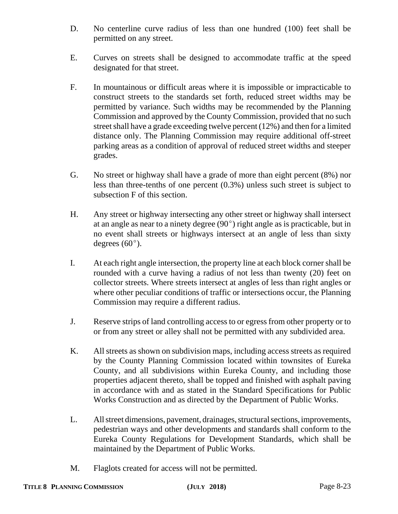- D. No centerline curve radius of less than one hundred (100) feet shall be permitted on any street.
- E. Curves on streets shall be designed to accommodate traffic at the speed designated for that street.
- F. In mountainous or difficult areas where it is impossible or impracticable to construct streets to the standards set forth, reduced street widths may be permitted by variance. Such widths may be recommended by the Planning Commission and approved by the County Commission, provided that no such street shall have a grade exceeding twelve percent (12%) and then for a limited distance only. The Planning Commission may require additional off-street parking areas as a condition of approval of reduced street widths and steeper grades.
- G. No street or highway shall have a grade of more than eight percent (8%) nor less than three-tenths of one percent (0.3%) unless such street is subject to subsection F of this section.
- H. Any street or highway intersecting any other street or highway shall intersect at an angle as near to a ninety degree  $(90^{\circ})$  right angle as is practicable, but in no event shall streets or highways intersect at an angle of less than sixty degrees  $(60^{\circ})$ .
- I. At each right angle intersection, the property line at each block corner shall be rounded with a curve having a radius of not less than twenty (20) feet on collector streets. Where streets intersect at angles of less than right angles or where other peculiar conditions of traffic or intersections occur, the Planning Commission may require a different radius.
- J. Reserve strips of land controlling access to or egress from other property or to or from any street or alley shall not be permitted with any subdivided area.
- K. All streets as shown on subdivision maps, including access streets as required by the County Planning Commission located within townsites of Eureka County, and all subdivisions within Eureka County, and including those properties adjacent thereto, shall be topped and finished with asphalt paving in accordance with and as stated in the Standard Specifications for Public Works Construction and as directed by the Department of Public Works.
- L. All street dimensions, pavement, drainages, structural sections, improvements, pedestrian ways and other developments and standards shall conform to the Eureka County Regulations for Development Standards, which shall be maintained by the Department of Public Works.
- M. Flaglots created for access will not be permitted.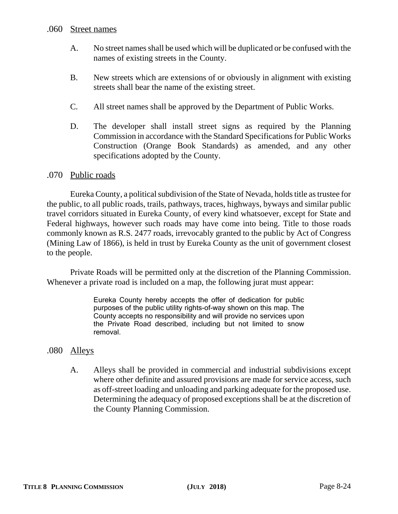#### .060 Street names

- A. No street names shall be used which will be duplicated or be confused with the names of existing streets in the County.
- B. New streets which are extensions of or obviously in alignment with existing streets shall bear the name of the existing street.
- C. All street names shall be approved by the Department of Public Works.
- D. The developer shall install street signs as required by the Planning Commission in accordance with the Standard Specifications for Public Works Construction (Orange Book Standards) as amended, and any other specifications adopted by the County.

#### .070 Public roads

Eureka County, a political subdivision of the State of Nevada, holds title as trustee for the public, to all public roads, trails, pathways, traces, highways, byways and similar public travel corridors situated in Eureka County, of every kind whatsoever, except for State and Federal highways, however such roads may have come into being. Title to those roads commonly known as R.S. 2477 roads, irrevocably granted to the public by Act of Congress (Mining Law of 1866), is held in trust by Eureka County as the unit of government closest to the people.

Private Roads will be permitted only at the discretion of the Planning Commission. Whenever a private road is included on a map, the following jurat must appear:

> Eureka County hereby accepts the offer of dedication for public purposes of the public utility rights-of-way shown on this map. The County accepts no responsibility and will provide no services upon the Private Road described, including but not limited to snow removal.

## .080 Alleys

A. Alleys shall be provided in commercial and industrial subdivisions except where other definite and assured provisions are made for service access, such as off-street loading and unloading and parking adequate for the proposed use. Determining the adequacy of proposed exceptions shall be at the discretion of the County Planning Commission.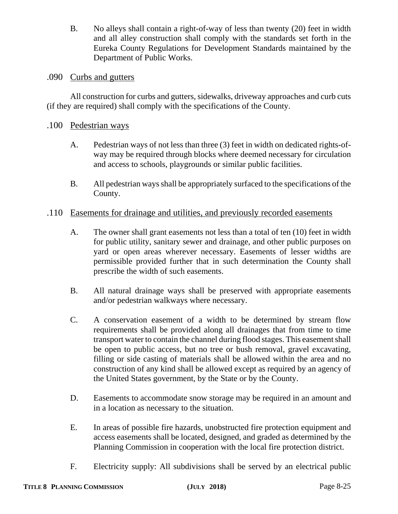B. No alleys shall contain a right-of-way of less than twenty (20) feet in width and all alley construction shall comply with the standards set forth in the Eureka County Regulations for Development Standards maintained by the Department of Public Works.

## .090 Curbs and gutters

All construction for curbs and gutters, sidewalks, driveway approaches and curb cuts (if they are required) shall comply with the specifications of the County.

#### .100 Pedestrian ways

- A. Pedestrian ways of not less than three (3) feet in width on dedicated rights-ofway may be required through blocks where deemed necessary for circulation and access to schools, playgrounds or similar public facilities.
- B. All pedestrian ways shall be appropriately surfaced to the specifications of the County.

#### .110 Easements for drainage and utilities, and previously recorded easements

- A. The owner shall grant easements not less than a total of ten (10) feet in width for public utility, sanitary sewer and drainage, and other public purposes on yard or open areas wherever necessary. Easements of lesser widths are permissible provided further that in such determination the County shall prescribe the width of such easements.
- B. All natural drainage ways shall be preserved with appropriate easements and/or pedestrian walkways where necessary.
- C. A conservation easement of a width to be determined by stream flow requirements shall be provided along all drainages that from time to time transport water to contain the channel during flood stages. This easement shall be open to public access, but no tree or bush removal, gravel excavating, filling or side casting of materials shall be allowed within the area and no construction of any kind shall be allowed except as required by an agency of the United States government, by the State or by the County.
- D. Easements to accommodate snow storage may be required in an amount and in a location as necessary to the situation.
- E. In areas of possible fire hazards, unobstructed fire protection equipment and access easements shall be located, designed, and graded as determined by the Planning Commission in cooperation with the local fire protection district.
- F. Electricity supply: All subdivisions shall be served by an electrical public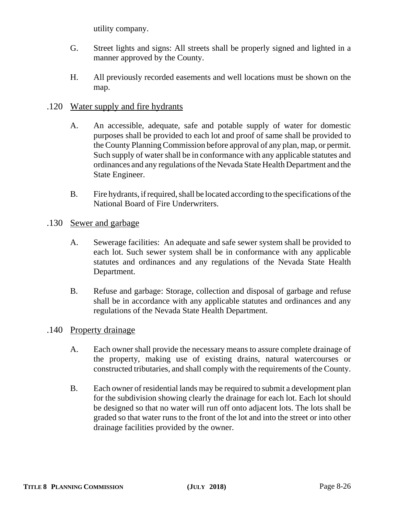utility company.

- G. Street lights and signs: All streets shall be properly signed and lighted in a manner approved by the County.
- H. All previously recorded easements and well locations must be shown on the map.

# .120 Water supply and fire hydrants

- A. An accessible, adequate, safe and potable supply of water for domestic purposes shall be provided to each lot and proof of same shall be provided to the County Planning Commission before approval of any plan, map, or permit. Such supply of water shall be in conformance with any applicable statutes and ordinances and any regulations of the Nevada State Health Department and the State Engineer.
- B. Fire hydrants, if required, shall be located according to the specifications of the National Board of Fire Underwriters.
- .130 Sewer and garbage
	- A. Sewerage facilities: An adequate and safe sewer system shall be provided to each lot. Such sewer system shall be in conformance with any applicable statutes and ordinances and any regulations of the Nevada State Health Department.
	- B. Refuse and garbage: Storage, collection and disposal of garbage and refuse shall be in accordance with any applicable statutes and ordinances and any regulations of the Nevada State Health Department.

## .140 Property drainage

- A. Each owner shall provide the necessary means to assure complete drainage of the property, making use of existing drains, natural watercourses or constructed tributaries, and shall comply with the requirements of the County.
- B. Each owner of residential lands may be required to submit a development plan for the subdivision showing clearly the drainage for each lot. Each lot should be designed so that no water will run off onto adjacent lots. The lots shall be graded so that water runs to the front of the lot and into the street or into other drainage facilities provided by the owner.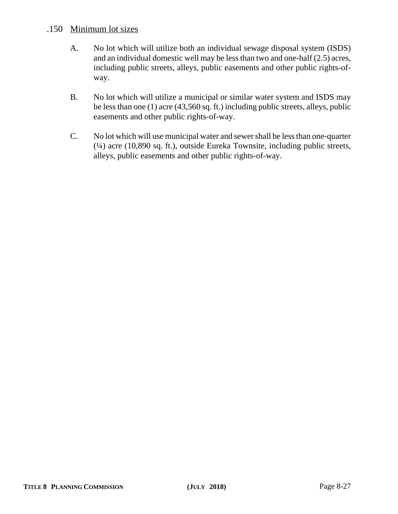# .150 Minimum lot sizes

- A. No lot which will utilize both an individual sewage disposal system (ISDS) and an individual domestic well may be less than two and one-half (2.5) acres, including public streets, alleys, public easements and other public rights-ofway.
- B. No lot which will utilize a municipal or similar water system and ISDS may be less than one (1) acre (43,560 sq. ft.) including public streets, alleys, public easements and other public rights-of-way.
- C. No lot which will use municipal water and sewer shall be less than one-quarter (¼) acre (10,890 sq. ft.), outside Eureka Townsite, including public streets, alleys, public easements and other public rights-of-way.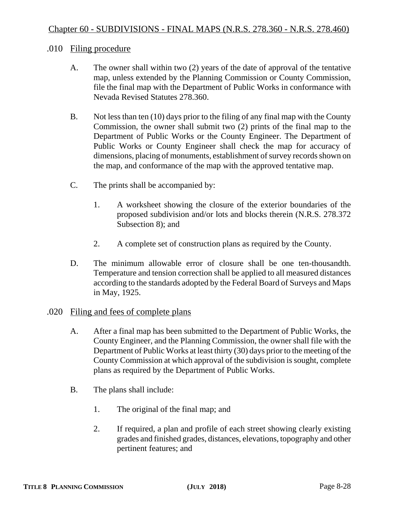#### .010 Filing procedure

- A. The owner shall within two (2) years of the date of approval of the tentative map, unless extended by the Planning Commission or County Commission, file the final map with the Department of Public Works in conformance with Nevada Revised Statutes 278.360.
- B. Not less than ten (10) days prior to the filing of any final map with the County Commission, the owner shall submit two (2) prints of the final map to the Department of Public Works or the County Engineer. The Department of Public Works or County Engineer shall check the map for accuracy of dimensions, placing of monuments, establishment of survey records shown on the map, and conformance of the map with the approved tentative map.
- C. The prints shall be accompanied by:
	- 1. A worksheet showing the closure of the exterior boundaries of the proposed subdivision and/or lots and blocks therein (N.R.S. 278.372 Subsection 8); and
	- 2. A complete set of construction plans as required by the County.
- D. The minimum allowable error of closure shall be one ten-thousandth. Temperature and tension correction shall be applied to all measured distances according to the standards adopted by the Federal Board of Surveys and Maps in May, 1925.
- .020 Filing and fees of complete plans
	- A. After a final map has been submitted to the Department of Public Works, the County Engineer, and the Planning Commission, the owner shall file with the Department of Public Works at least thirty (30) days prior to the meeting of the County Commission at which approval of the subdivision is sought, complete plans as required by the Department of Public Works.
	- B. The plans shall include:
		- 1. The original of the final map; and
		- 2. If required, a plan and profile of each street showing clearly existing grades and finished grades, distances, elevations, topography and other pertinent features; and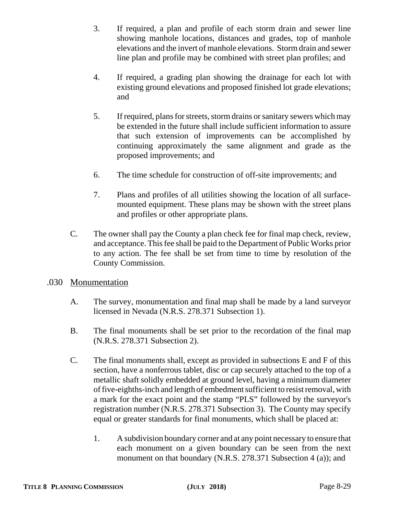- 3. If required, a plan and profile of each storm drain and sewer line showing manhole locations, distances and grades, top of manhole elevations and the invert of manhole elevations. Storm drain and sewer line plan and profile may be combined with street plan profiles; and
- 4. If required, a grading plan showing the drainage for each lot with existing ground elevations and proposed finished lot grade elevations; and
- 5. If required, plans for streets, storm drains or sanitary sewers which may be extended in the future shall include sufficient information to assure that such extension of improvements can be accomplished by continuing approximately the same alignment and grade as the proposed improvements; and
- 6. The time schedule for construction of off-site improvements; and
- 7. Plans and profiles of all utilities showing the location of all surfacemounted equipment. These plans may be shown with the street plans and profiles or other appropriate plans.
- C. The owner shall pay the County a plan check fee for final map check, review, and acceptance. This fee shall be paid to the Department of Public Works prior to any action. The fee shall be set from time to time by resolution of the County Commission.

## .030 Monumentation

- A. The survey, monumentation and final map shall be made by a land surveyor licensed in Nevada (N.R.S. 278.371 Subsection 1).
- B. The final monuments shall be set prior to the recordation of the final map (N.R.S. 278.371 Subsection 2).
- C. The final monuments shall, except as provided in subsections E and F of this section, have a nonferrous tablet, disc or cap securely attached to the top of a metallic shaft solidly embedded at ground level, having a minimum diameter of five-eighths-inch and length of embedment sufficient to resist removal, with a mark for the exact point and the stamp "PLS" followed by the surveyor's registration number (N.R.S. 278.371 Subsection 3). The County may specify equal or greater standards for final monuments, which shall be placed at:
	- 1. A subdivision boundary corner and at any point necessary to ensure that each monument on a given boundary can be seen from the next monument on that boundary (N.R.S. 278.371 Subsection 4 (a)); and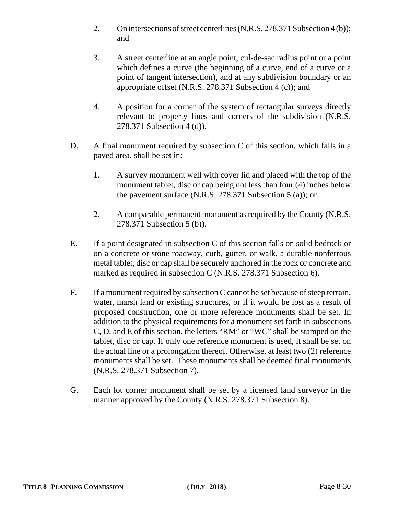- 2. On intersections of street centerlines (N.R.S. 278.371 Subsection 4 (b)); and
- 3. A street centerline at an angle point, cul-de-sac radius point or a point which defines a curve (the beginning of a curve, end of a curve or a point of tangent intersection), and at any subdivision boundary or an appropriate offset (N.R.S. 278.371 Subsection 4 (c)); and
- 4. A position for a corner of the system of rectangular surveys directly relevant to property lines and corners of the subdivision (N.R.S. 278.371 Subsection 4 (d)).
- D. A final monument required by subsection C of this section, which falls in a paved area, shall be set in:
	- 1. A survey monument well with cover lid and placed with the top of the monument tablet, disc or cap being not less than four (4) inches below the pavement surface (N.R.S. 278.371 Subsection 5 (a)); or
	- 2. A comparable permanent monument as required by the County (N.R.S. 278.371 Subsection 5 (b)).
- E. If a point designated in subsection C of this section falls on solid bedrock or on a concrete or stone roadway, curb, gutter, or walk, a durable nonferrous metal tablet, disc or cap shall be securely anchored in the rock or concrete and marked as required in subsection C (N.R.S. 278.371 Subsection 6).
- F. If a monument required by subsection C cannot be set because of steep terrain, water, marsh land or existing structures, or if it would be lost as a result of proposed construction, one or more reference monuments shall be set. In addition to the physical requirements for a monument set forth in subsections C, D, and E of this section, the letters "RM" or "WC" shall be stamped on the tablet, disc or cap. If only one reference monument is used, it shall be set on the actual line or a prolongation thereof. Otherwise, at least two (2) reference monuments shall be set. These monuments shall be deemed final monuments (N.R.S. 278.371 Subsection 7).
- G. Each lot corner monument shall be set by a licensed land surveyor in the manner approved by the County (N.R.S. 278.371 Subsection 8).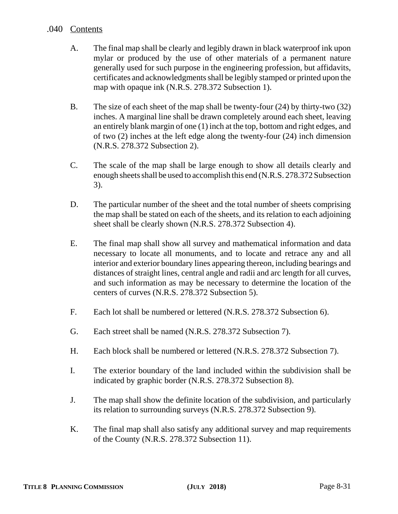### .040 Contents

- A. The final map shall be clearly and legibly drawn in black waterproof ink upon mylar or produced by the use of other materials of a permanent nature generally used for such purpose in the engineering profession, but affidavits, certificates and acknowledgments shall be legibly stamped or printed upon the map with opaque ink (N.R.S. 278.372 Subsection 1).
- B. The size of each sheet of the map shall be twenty-four (24) by thirty-two (32) inches. A marginal line shall be drawn completely around each sheet, leaving an entirely blank margin of one (1) inch at the top, bottom and right edges, and of two (2) inches at the left edge along the twenty-four (24) inch dimension (N.R.S. 278.372 Subsection 2).
- C. The scale of the map shall be large enough to show all details clearly and enough sheets shall be used to accomplish this end (N.R.S. 278.372 Subsection 3).
- D. The particular number of the sheet and the total number of sheets comprising the map shall be stated on each of the sheets, and its relation to each adjoining sheet shall be clearly shown (N.R.S. 278.372 Subsection 4).
- E. The final map shall show all survey and mathematical information and data necessary to locate all monuments, and to locate and retrace any and all interior and exterior boundary lines appearing thereon, including bearings and distances of straight lines, central angle and radii and arc length for all curves, and such information as may be necessary to determine the location of the centers of curves (N.R.S. 278.372 Subsection 5).
- F. Each lot shall be numbered or lettered (N.R.S. 278.372 Subsection 6).
- G. Each street shall be named (N.R.S. 278.372 Subsection 7).
- H. Each block shall be numbered or lettered (N.R.S. 278.372 Subsection 7).
- I. The exterior boundary of the land included within the subdivision shall be indicated by graphic border (N.R.S. 278.372 Subsection 8).
- J. The map shall show the definite location of the subdivision, and particularly its relation to surrounding surveys (N.R.S. 278.372 Subsection 9).
- K. The final map shall also satisfy any additional survey and map requirements of the County (N.R.S. 278.372 Subsection 11).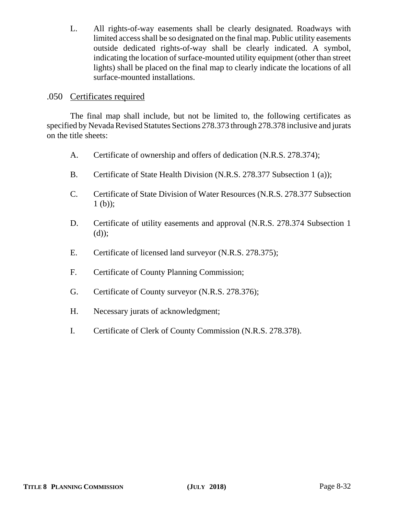L. All rights-of-way easements shall be clearly designated. Roadways with limited access shall be so designated on the final map. Public utility easements outside dedicated rights-of-way shall be clearly indicated. A symbol, indicating the location of surface-mounted utility equipment (other than street lights) shall be placed on the final map to clearly indicate the locations of all surface-mounted installations.

#### .050 Certificates required

The final map shall include, but not be limited to, the following certificates as specified by Nevada Revised Statutes Sections 278.373 through 278.378 inclusive and jurats on the title sheets:

- A. Certificate of ownership and offers of dedication (N.R.S. 278.374);
- B. Certificate of State Health Division (N.R.S. 278.377 Subsection 1 (a));
- C. Certificate of State Division of Water Resources (N.R.S. 278.377 Subsection  $1<sub>(b)</sub>:$
- D. Certificate of utility easements and approval (N.R.S. 278.374 Subsection 1 (d));
- E. Certificate of licensed land surveyor (N.R.S. 278.375);
- F. Certificate of County Planning Commission;
- G. Certificate of County surveyor (N.R.S. 278.376);
- H. Necessary jurats of acknowledgment;
- I. Certificate of Clerk of County Commission (N.R.S. 278.378).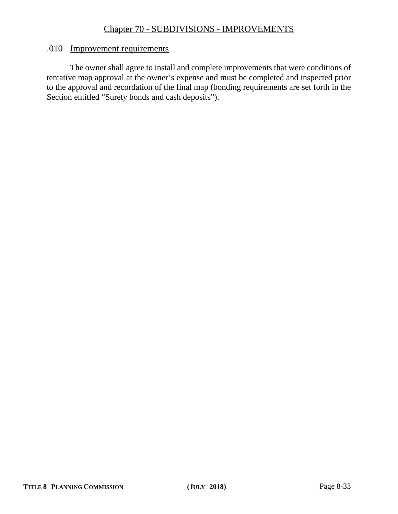# Chapter 70 - SUBDIVISIONS - IMPROVEMENTS

#### .010 Improvement requirements

The owner shall agree to install and complete improvements that were conditions of tentative map approval at the owner's expense and must be completed and inspected prior to the approval and recordation of the final map (bonding requirements are set forth in the Section entitled "Surety bonds and cash deposits").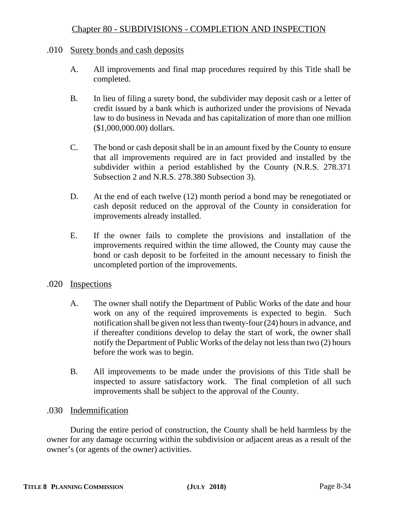### .010 Surety bonds and cash deposits

- A. All improvements and final map procedures required by this Title shall be completed.
- B. In lieu of filing a surety bond, the subdivider may deposit cash or a letter of credit issued by a bank which is authorized under the provisions of Nevada law to do business in Nevada and has capitalization of more than one million (\$1,000,000.00) dollars.
- C. The bond or cash deposit shall be in an amount fixed by the County to ensure that all improvements required are in fact provided and installed by the subdivider within a period established by the County (N.R.S. 278.371 Subsection 2 and N.R.S. 278.380 Subsection 3).
- D. At the end of each twelve (12) month period a bond may be renegotiated or cash deposit reduced on the approval of the County in consideration for improvements already installed.
- E. If the owner fails to complete the provisions and installation of the improvements required within the time allowed, the County may cause the bond or cash deposit to be forfeited in the amount necessary to finish the uncompleted portion of the improvements.

## .020 Inspections

- A. The owner shall notify the Department of Public Works of the date and hour work on any of the required improvements is expected to begin. Such notification shall be given not less than twenty-four (24) hours in advance, and if thereafter conditions develop to delay the start of work, the owner shall notify the Department of Public Works of the delay not less than two (2) hours before the work was to begin.
- B. All improvements to be made under the provisions of this Title shall be inspected to assure satisfactory work. The final completion of all such improvements shall be subject to the approval of the County.

## .030 Indemnification

During the entire period of construction, the County shall be held harmless by the owner for any damage occurring within the subdivision or adjacent areas as a result of the owner's (or agents of the owner) activities.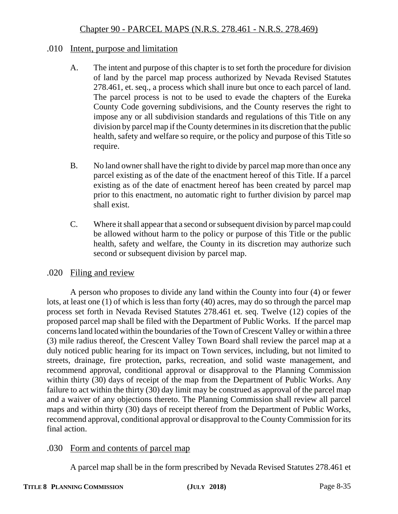## .010 Intent, purpose and limitation

- A. The intent and purpose of this chapter is to set forth the procedure for division of land by the parcel map process authorized by Nevada Revised Statutes 278.461, et. seq., a process which shall inure but once to each parcel of land. The parcel process is not to be used to evade the chapters of the Eureka County Code governing subdivisions, and the County reserves the right to impose any or all subdivision standards and regulations of this Title on any division by parcel map if the County determines in its discretion that the public health, safety and welfare so require, or the policy and purpose of this Title so require.
- B. No land owner shall have the right to divide by parcel map more than once any parcel existing as of the date of the enactment hereof of this Title. If a parcel existing as of the date of enactment hereof has been created by parcel map prior to this enactment, no automatic right to further division by parcel map shall exist.
- C. Where it shall appear that a second or subsequent division by parcel map could be allowed without harm to the policy or purpose of this Title or the public health, safety and welfare, the County in its discretion may authorize such second or subsequent division by parcel map.

## .020 Filing and review

A person who proposes to divide any land within the County into four (4) or fewer lots, at least one (1) of which is less than forty (40) acres, may do so through the parcel map process set forth in Nevada Revised Statutes 278.461 et. seq. Twelve (12) copies of the proposed parcel map shall be filed with the Department of Public Works. If the parcel map concerns land located within the boundaries of the Town of Crescent Valley or within a three (3) mile radius thereof, the Crescent Valley Town Board shall review the parcel map at a duly noticed public hearing for its impact on Town services, including, but not limited to streets, drainage, fire protection, parks, recreation, and solid waste management, and recommend approval, conditional approval or disapproval to the Planning Commission within thirty (30) days of receipt of the map from the Department of Public Works. Any failure to act within the thirty (30) day limit may be construed as approval of the parcel map and a waiver of any objections thereto. The Planning Commission shall review all parcel maps and within thirty (30) days of receipt thereof from the Department of Public Works, recommend approval, conditional approval or disapproval to the County Commission for its final action.

# .030 Form and contents of parcel map

A parcel map shall be in the form prescribed by Nevada Revised Statutes 278.461 et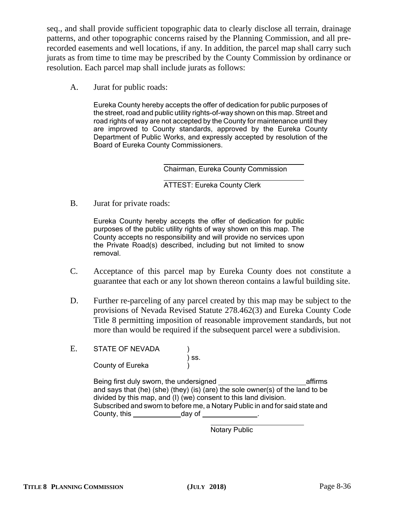seq., and shall provide sufficient topographic data to clearly disclose all terrain, drainage patterns, and other topographic concerns raised by the Planning Commission, and all prerecorded easements and well locations, if any. In addition, the parcel map shall carry such jurats as from time to time may be prescribed by the County Commission by ordinance or resolution. Each parcel map shall include jurats as follows:

A. Jurat for public roads:

Eureka County hereby accepts the offer of dedication for public purposes of the street, road and public utility rights-of-way shown on this map. Street and road rights of way are not accepted by the County for maintenance until they are improved to County standards, approved by the Eureka County Department of Public Works, and expressly accepted by resolution of the Board of Eureka County Commissioners.

Chairman, Eureka County Commission

ATTEST: Eureka County Clerk

B. Jurat for private roads:

Eureka County hereby accepts the offer of dedication for public purposes of the public utility rights of way shown on this map. The County accepts no responsibility and will provide no services upon the Private Road(s) described, including but not limited to snow removal.

- C. Acceptance of this parcel map by Eureka County does not constitute a guarantee that each or any lot shown thereon contains a lawful building site.
- D. Further re-parceling of any parcel created by this map may be subject to the provisions of Nevada Revised Statute 278.462(3) and Eureka County Code Title 8 permitting imposition of reasonable improvement standards, but not more than would be required if the subsequent parcel were a subdivision.
- E. STATE OF NEVADA ) ss. County of Eureka

Being first duly sworn, the undersigned and affirms and says that (he) (she) (they) (is) (are) the sole owner(s) of the land to be divided by this map, and (I) (we) consent to this land division. Subscribed and sworn to before me, a Notary Public in and for said state and County, this day of .

Notary Public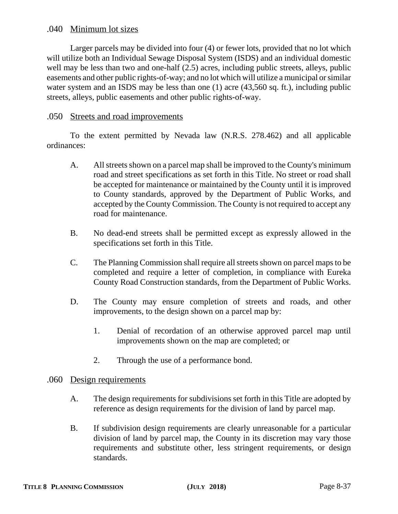## .040 Minimum lot sizes

Larger parcels may be divided into four (4) or fewer lots, provided that no lot which will utilize both an Individual Sewage Disposal System (ISDS) and an individual domestic well may be less than two and one-half  $(2.5)$  acres, including public streets, alleys, public easements and other public rights-of-way; and no lot which will utilize a municipal or similar water system and an ISDS may be less than one (1) acre (43,560 sq. ft.), including public streets, alleys, public easements and other public rights-of-way.

### .050 Streets and road improvements

To the extent permitted by Nevada law (N.R.S. 278.462) and all applicable ordinances:

- A. All streets shown on a parcel map shall be improved to the County's minimum road and street specifications as set forth in this Title. No street or road shall be accepted for maintenance or maintained by the County until it is improved to County standards, approved by the Department of Public Works, and accepted by the County Commission. The County is not required to accept any road for maintenance.
- B. No dead-end streets shall be permitted except as expressly allowed in the specifications set forth in this Title.
- C. The Planning Commission shall require all streets shown on parcel maps to be completed and require a letter of completion, in compliance with Eureka County Road Construction standards, from the Department of Public Works.
- D. The County may ensure completion of streets and roads, and other improvements, to the design shown on a parcel map by:
	- 1. Denial of recordation of an otherwise approved parcel map until improvements shown on the map are completed; or
	- 2. Through the use of a performance bond.

#### .060 Design requirements

- A. The design requirements for subdivisions set forth in this Title are adopted by reference as design requirements for the division of land by parcel map.
- B. If subdivision design requirements are clearly unreasonable for a particular division of land by parcel map, the County in its discretion may vary those requirements and substitute other, less stringent requirements, or design standards.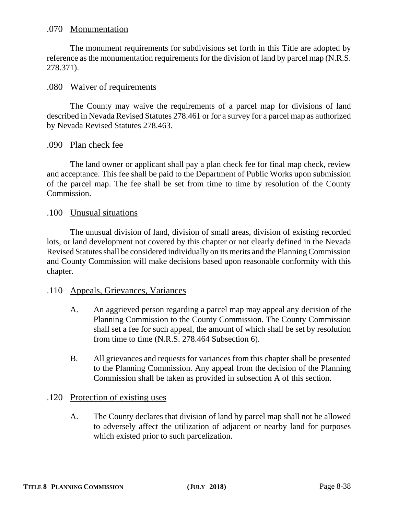### .070 Monumentation

The monument requirements for subdivisions set forth in this Title are adopted by reference as the monumentation requirements for the division of land by parcel map (N.R.S. 278.371).

#### .080 Waiver of requirements

The County may waive the requirements of a parcel map for divisions of land described in Nevada Revised Statutes 278.461 or for a survey for a parcel map as authorized by Nevada Revised Statutes 278.463.

### .090 Plan check fee

The land owner or applicant shall pay a plan check fee for final map check, review and acceptance. This fee shall be paid to the Department of Public Works upon submission of the parcel map. The fee shall be set from time to time by resolution of the County Commission.

#### .100 Unusual situations

The unusual division of land, division of small areas, division of existing recorded lots, or land development not covered by this chapter or not clearly defined in the Nevada Revised Statutes shall be considered individually on its merits and the Planning Commission and County Commission will make decisions based upon reasonable conformity with this chapter.

#### .110 Appeals, Grievances, Variances

- A. An aggrieved person regarding a parcel map may appeal any decision of the Planning Commission to the County Commission. The County Commission shall set a fee for such appeal, the amount of which shall be set by resolution from time to time (N.R.S. 278.464 Subsection 6).
- B. All grievances and requests for variances from this chapter shall be presented to the Planning Commission. Any appeal from the decision of the Planning Commission shall be taken as provided in subsection A of this section.

### .120 Protection of existing uses

A. The County declares that division of land by parcel map shall not be allowed to adversely affect the utilization of adjacent or nearby land for purposes which existed prior to such parcelization.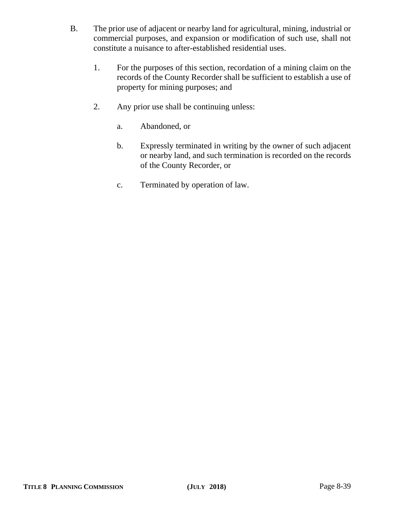- B. The prior use of adjacent or nearby land for agricultural, mining, industrial or commercial purposes, and expansion or modification of such use, shall not constitute a nuisance to after-established residential uses.
	- 1. For the purposes of this section, recordation of a mining claim on the records of the County Recorder shall be sufficient to establish a use of property for mining purposes; and
	- 2. Any prior use shall be continuing unless:
		- a. Abandoned, or
		- b. Expressly terminated in writing by the owner of such adjacent or nearby land, and such termination is recorded on the records of the County Recorder, or
		- c. Terminated by operation of law.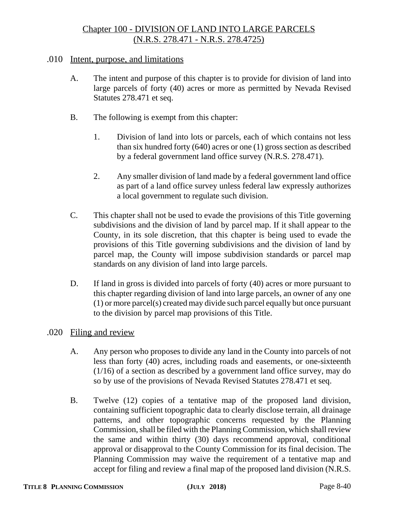# Chapter 100 - DIVISION OF LAND INTO LARGE PARCELS (N.R.S. 278.471 - N.R.S. 278.4725)

### .010 Intent, purpose, and limitations

- A. The intent and purpose of this chapter is to provide for division of land into large parcels of forty (40) acres or more as permitted by Nevada Revised Statutes 278.471 et seq.
- B. The following is exempt from this chapter:
	- 1. Division of land into lots or parcels, each of which contains not less than six hundred forty (640) acres or one (1) gross section as described by a federal government land office survey (N.R.S. 278.471).
	- 2. Any smaller division of land made by a federal government land office as part of a land office survey unless federal law expressly authorizes a local government to regulate such division.
- C. This chapter shall not be used to evade the provisions of this Title governing subdivisions and the division of land by parcel map. If it shall appear to the County, in its sole discretion, that this chapter is being used to evade the provisions of this Title governing subdivisions and the division of land by parcel map, the County will impose subdivision standards or parcel map standards on any division of land into large parcels.
- D. If land in gross is divided into parcels of forty (40) acres or more pursuant to this chapter regarding division of land into large parcels, an owner of any one (1) or more parcel(s) created may divide such parcel equally but once pursuant to the division by parcel map provisions of this Title.

#### .020 Filing and review

- A. Any person who proposes to divide any land in the County into parcels of not less than forty (40) acres, including roads and easements, or one-sixteenth (1/16) of a section as described by a government land office survey, may do so by use of the provisions of Nevada Revised Statutes 278.471 et seq.
- B. Twelve (12) copies of a tentative map of the proposed land division, containing sufficient topographic data to clearly disclose terrain, all drainage patterns, and other topographic concerns requested by the Planning Commission, shall be filed with the Planning Commission, which shall review the same and within thirty (30) days recommend approval, conditional approval or disapproval to the County Commission for its final decision. The Planning Commission may waive the requirement of a tentative map and accept for filing and review a final map of the proposed land division (N.R.S.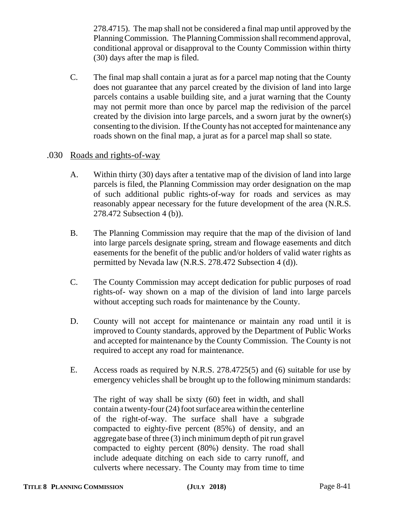278.4715). The map shall not be considered a final map until approved by the Planning Commission. The Planning Commission shall recommend approval, conditional approval or disapproval to the County Commission within thirty (30) days after the map is filed.

C. The final map shall contain a jurat as for a parcel map noting that the County does not guarantee that any parcel created by the division of land into large parcels contains a usable building site, and a jurat warning that the County may not permit more than once by parcel map the redivision of the parcel created by the division into large parcels, and a sworn jurat by the owner(s) consenting to the division. If the County has not accepted for maintenance any roads shown on the final map, a jurat as for a parcel map shall so state.

## .030 Roads and rights-of-way

- A. Within thirty (30) days after a tentative map of the division of land into large parcels is filed, the Planning Commission may order designation on the map of such additional public rights-of-way for roads and services as may reasonably appear necessary for the future development of the area (N.R.S. 278.472 Subsection 4 (b)).
- B. The Planning Commission may require that the map of the division of land into large parcels designate spring, stream and flowage easements and ditch easements for the benefit of the public and/or holders of valid water rights as permitted by Nevada law (N.R.S. 278.472 Subsection 4 (d)).
- C. The County Commission may accept dedication for public purposes of road rights-of- way shown on a map of the division of land into large parcels without accepting such roads for maintenance by the County.
- D. County will not accept for maintenance or maintain any road until it is improved to County standards, approved by the Department of Public Works and accepted for maintenance by the County Commission. The County is not required to accept any road for maintenance.
- E. Access roads as required by N.R.S. 278.4725(5) and (6) suitable for use by emergency vehicles shall be brought up to the following minimum standards:

The right of way shall be sixty (60) feet in width, and shall contain a twenty-four (24) foot surface area within the centerline of the right-of-way. The surface shall have a subgrade compacted to eighty-five percent (85%) of density, and an aggregate base of three (3) inch minimum depth of pit run gravel compacted to eighty percent (80%) density. The road shall include adequate ditching on each side to carry runoff, and culverts where necessary. The County may from time to time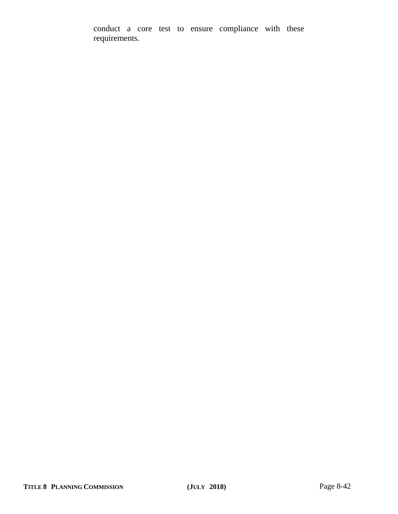conduct a core test to ensure compliance with these requirements.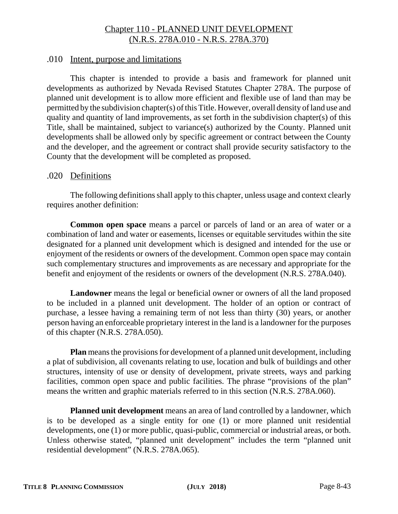# Chapter 110 - PLANNED UNIT DEVELOPMENT (N.R.S. 278A.010 - N.R.S. 278A.370)

### .010 Intent, purpose and limitations

This chapter is intended to provide a basis and framework for planned unit developments as authorized by Nevada Revised Statutes Chapter 278A. The purpose of planned unit development is to allow more efficient and flexible use of land than may be permitted by the subdivision chapter(s) of this Title. However, overall density of land use and quality and quantity of land improvements, as set forth in the subdivision chapter(s) of this Title, shall be maintained, subject to variance(s) authorized by the County. Planned unit developments shall be allowed only by specific agreement or contract between the County and the developer, and the agreement or contract shall provide security satisfactory to the County that the development will be completed as proposed.

### .020 Definitions

The following definitions shall apply to this chapter, unless usage and context clearly requires another definition:

**Common open space** means a parcel or parcels of land or an area of water or a combination of land and water or easements, licenses or equitable servitudes within the site designated for a planned unit development which is designed and intended for the use or enjoyment of the residents or owners of the development. Common open space may contain such complementary structures and improvements as are necessary and appropriate for the benefit and enjoyment of the residents or owners of the development (N.R.S. 278A.040).

**Landowner** means the legal or beneficial owner or owners of all the land proposed to be included in a planned unit development. The holder of an option or contract of purchase, a lessee having a remaining term of not less than thirty (30) years, or another person having an enforceable proprietary interest in the land is a landowner for the purposes of this chapter (N.R.S. 278A.050).

**Plan** means the provisions for development of a planned unit development, including a plat of subdivision, all covenants relating to use, location and bulk of buildings and other structures, intensity of use or density of development, private streets, ways and parking facilities, common open space and public facilities. The phrase "provisions of the plan" means the written and graphic materials referred to in this section (N.R.S. 278A.060).

**Planned unit development** means an area of land controlled by a landowner, which is to be developed as a single entity for one (1) or more planned unit residential developments, one (1) or more public, quasi-public, commercial or industrial areas, or both. Unless otherwise stated, "planned unit development" includes the term "planned unit residential development" (N.R.S. 278A.065).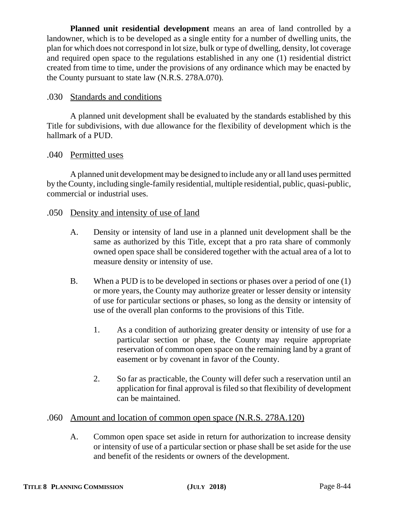**Planned unit residential development** means an area of land controlled by a landowner, which is to be developed as a single entity for a number of dwelling units, the plan for which does not correspond in lot size, bulk or type of dwelling, density, lot coverage and required open space to the regulations established in any one (1) residential district created from time to time, under the provisions of any ordinance which may be enacted by the County pursuant to state law (N.R.S. 278A.070).

## .030 Standards and conditions

A planned unit development shall be evaluated by the standards established by this Title for subdivisions, with due allowance for the flexibility of development which is the hallmark of a PUD.

### .040 Permitted uses

A planned unit development may be designed to include any or all land uses permitted by the County, including single-family residential, multiple residential, public, quasi-public, commercial or industrial uses.

### .050 Density and intensity of use of land

- A. Density or intensity of land use in a planned unit development shall be the same as authorized by this Title, except that a pro rata share of commonly owned open space shall be considered together with the actual area of a lot to measure density or intensity of use.
- B. When a PUD is to be developed in sections or phases over a period of one (1) or more years, the County may authorize greater or lesser density or intensity of use for particular sections or phases, so long as the density or intensity of use of the overall plan conforms to the provisions of this Title.
	- 1. As a condition of authorizing greater density or intensity of use for a particular section or phase, the County may require appropriate reservation of common open space on the remaining land by a grant of easement or by covenant in favor of the County.
	- 2. So far as practicable, the County will defer such a reservation until an application for final approval is filed so that flexibility of development can be maintained.

#### .060 Amount and location of common open space (N.R.S. 278A.120)

A. Common open space set aside in return for authorization to increase density or intensity of use of a particular section or phase shall be set aside for the use and benefit of the residents or owners of the development.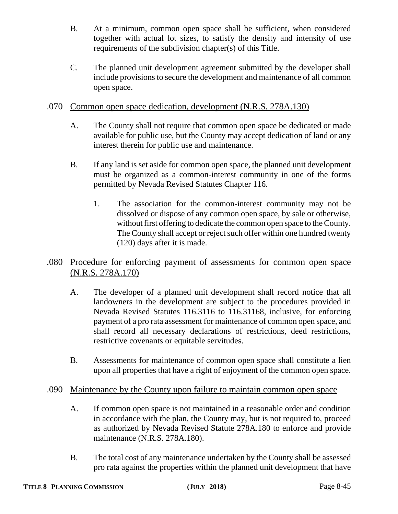- B. At a minimum, common open space shall be sufficient, when considered together with actual lot sizes, to satisfy the density and intensity of use requirements of the subdivision chapter(s) of this Title.
- C. The planned unit development agreement submitted by the developer shall include provisions to secure the development and maintenance of all common open space.

## .070 Common open space dedication, development (N.R.S. 278A.130)

- A. The County shall not require that common open space be dedicated or made available for public use, but the County may accept dedication of land or any interest therein for public use and maintenance.
- B. If any land is set aside for common open space, the planned unit development must be organized as a common-interest community in one of the forms permitted by Nevada Revised Statutes Chapter 116.
	- 1. The association for the common-interest community may not be dissolved or dispose of any common open space, by sale or otherwise, without first offering to dedicate the common open space to the County. The County shall accept or reject such offer within one hundred twenty (120) days after it is made.

# .080 Procedure for enforcing payment of assessments for common open space (N.R.S. 278A.170)

- A. The developer of a planned unit development shall record notice that all landowners in the development are subject to the procedures provided in Nevada Revised Statutes 116.3116 to 116.31168, inclusive, for enforcing payment of a pro rata assessment for maintenance of common open space, and shall record all necessary declarations of restrictions, deed restrictions, restrictive covenants or equitable servitudes.
- B. Assessments for maintenance of common open space shall constitute a lien upon all properties that have a right of enjoyment of the common open space.

## .090 Maintenance by the County upon failure to maintain common open space

- A. If common open space is not maintained in a reasonable order and condition in accordance with the plan, the County may, but is not required to, proceed as authorized by Nevada Revised Statute 278A.180 to enforce and provide maintenance (N.R.S. 278A.180).
- B. The total cost of any maintenance undertaken by the County shall be assessed pro rata against the properties within the planned unit development that have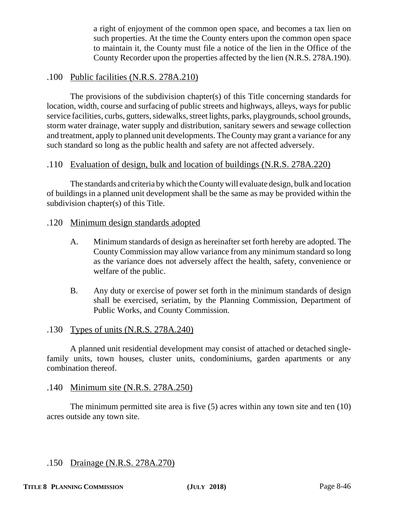a right of enjoyment of the common open space, and becomes a tax lien on such properties. At the time the County enters upon the common open space to maintain it, the County must file a notice of the lien in the Office of the County Recorder upon the properties affected by the lien (N.R.S. 278A.190).

## .100 Public facilities (N.R.S. 278A.210)

The provisions of the subdivision chapter(s) of this Title concerning standards for location, width, course and surfacing of public streets and highways, alleys, ways for public service facilities, curbs, gutters, sidewalks, street lights, parks, playgrounds, school grounds, storm water drainage, water supply and distribution, sanitary sewers and sewage collection and treatment, apply to planned unit developments. The County may grant a variance for any such standard so long as the public health and safety are not affected adversely.

## .110 Evaluation of design, bulk and location of buildings (N.R.S. 278A.220)

The standards and criteria by which the County will evaluate design, bulk and location of buildings in a planned unit development shall be the same as may be provided within the subdivision chapter(s) of this Title.

### .120 Minimum design standards adopted

- A. Minimum standards of design as hereinafter set forth hereby are adopted. The County Commission may allow variance from any minimum standard so long as the variance does not adversely affect the health, safety, convenience or welfare of the public.
- B. Any duty or exercise of power set forth in the minimum standards of design shall be exercised, seriatim, by the Planning Commission, Department of Public Works, and County Commission.

## .130 Types of units (N.R.S. 278A.240)

A planned unit residential development may consist of attached or detached singlefamily units, town houses, cluster units, condominiums, garden apartments or any combination thereof.

#### .140 Minimum site (N.R.S. 278A.250)

The minimum permitted site area is five (5) acres within any town site and ten (10) acres outside any town site.

## .150 Drainage (N.R.S. 278A.270)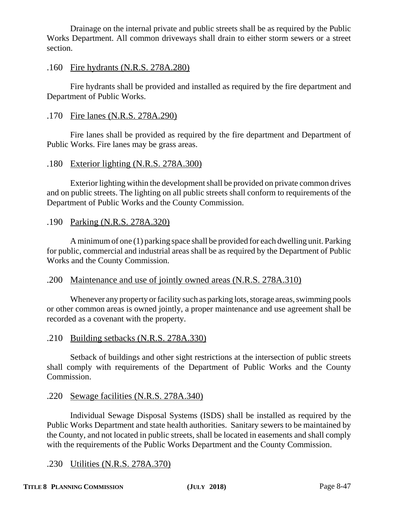Drainage on the internal private and public streets shall be as required by the Public Works Department. All common driveways shall drain to either storm sewers or a street section.

## .160 Fire hydrants (N.R.S. 278A.280)

Fire hydrants shall be provided and installed as required by the fire department and Department of Public Works.

## .170 Fire lanes (N.R.S. 278A.290)

Fire lanes shall be provided as required by the fire department and Department of Public Works. Fire lanes may be grass areas.

## .180 Exterior lighting (N.R.S. 278A.300)

Exterior lighting within the development shall be provided on private common drives and on public streets. The lighting on all public streets shall conform to requirements of the Department of Public Works and the County Commission.

## .190 Parking (N.R.S. 278A.320)

A minimum of one (1) parking space shall be provided for each dwelling unit. Parking for public, commercial and industrial areas shall be as required by the Department of Public Works and the County Commission.

# .200 Maintenance and use of jointly owned areas (N.R.S. 278A.310)

Whenever any property or facility such as parking lots, storage areas, swimming pools or other common areas is owned jointly, a proper maintenance and use agreement shall be recorded as a covenant with the property.

.210 Building setbacks (N.R.S. 278A.330)

Setback of buildings and other sight restrictions at the intersection of public streets shall comply with requirements of the Department of Public Works and the County Commission.

## .220 Sewage facilities (N.R.S. 278A.340)

Individual Sewage Disposal Systems (ISDS) shall be installed as required by the Public Works Department and state health authorities. Sanitary sewers to be maintained by the County, and not located in public streets, shall be located in easements and shall comply with the requirements of the Public Works Department and the County Commission.

# .230 Utilities (N.R.S. 278A.370)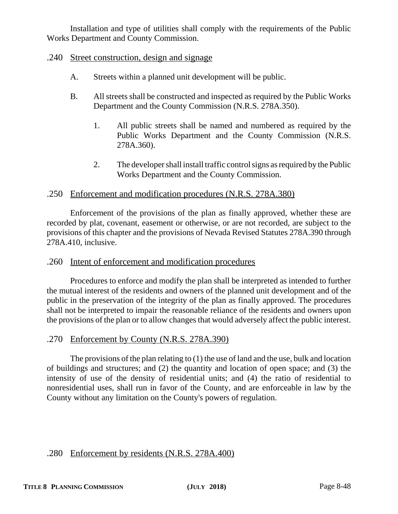Installation and type of utilities shall comply with the requirements of the Public Works Department and County Commission.

### .240 Street construction, design and signage

- A. Streets within a planned unit development will be public.
- B. All streets shall be constructed and inspected as required by the Public Works Department and the County Commission (N.R.S. 278A.350).
	- 1. All public streets shall be named and numbered as required by the Public Works Department and the County Commission (N.R.S. 278A.360).
	- 2. The developer shall install traffic control signs as required by the Public Works Department and the County Commission.

#### .250 Enforcement and modification procedures (N.R.S. 278A.380)

Enforcement of the provisions of the plan as finally approved, whether these are recorded by plat, covenant, easement or otherwise, or are not recorded, are subject to the provisions of this chapter and the provisions of Nevada Revised Statutes 278A.390 through 278A.410, inclusive.

### .260 Intent of enforcement and modification procedures

Procedures to enforce and modify the plan shall be interpreted as intended to further the mutual interest of the residents and owners of the planned unit development and of the public in the preservation of the integrity of the plan as finally approved. The procedures shall not be interpreted to impair the reasonable reliance of the residents and owners upon the provisions of the plan or to allow changes that would adversely affect the public interest.

#### .270 Enforcement by County (N.R.S. 278A.390)

The provisions of the plan relating to (1) the use of land and the use, bulk and location of buildings and structures; and (2) the quantity and location of open space; and (3) the intensity of use of the density of residential units; and (4) the ratio of residential to nonresidential uses, shall run in favor of the County, and are enforceable in law by the County without any limitation on the County's powers of regulation.

### .280 Enforcement by residents (N.R.S. 278A.400)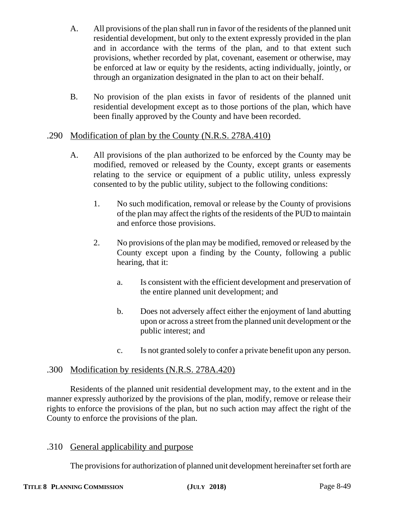- A. All provisions of the plan shall run in favor of the residents of the planned unit residential development, but only to the extent expressly provided in the plan and in accordance with the terms of the plan, and to that extent such provisions, whether recorded by plat, covenant, easement or otherwise, may be enforced at law or equity by the residents, acting individually, jointly, or through an organization designated in the plan to act on their behalf.
- B. No provision of the plan exists in favor of residents of the planned unit residential development except as to those portions of the plan, which have been finally approved by the County and have been recorded.

## .290 Modification of plan by the County (N.R.S. 278A.410)

- A. All provisions of the plan authorized to be enforced by the County may be modified, removed or released by the County, except grants or easements relating to the service or equipment of a public utility, unless expressly consented to by the public utility, subject to the following conditions:
	- 1. No such modification, removal or release by the County of provisions of the plan may affect the rights of the residents of the PUD to maintain and enforce those provisions.
	- 2. No provisions of the plan may be modified, removed or released by the County except upon a finding by the County, following a public hearing, that it:
		- a. Is consistent with the efficient development and preservation of the entire planned unit development; and
		- b. Does not adversely affect either the enjoyment of land abutting upon or across a street from the planned unit development or the public interest; and
		- c. Is not granted solely to confer a private benefit upon any person.

# .300 Modification by residents (N.R.S. 278A.420)

Residents of the planned unit residential development may, to the extent and in the manner expressly authorized by the provisions of the plan, modify, remove or release their rights to enforce the provisions of the plan, but no such action may affect the right of the County to enforce the provisions of the plan.

# .310 General applicability and purpose

The provisions for authorization of planned unit development hereinafter set forth are

### **TITLE 8 PLANNING COMMISSION (JULY 2018)** Page 8-49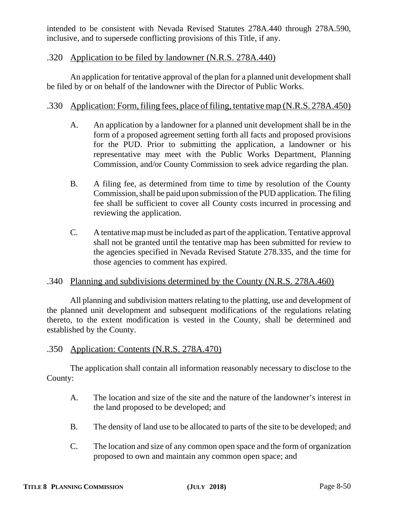intended to be consistent with Nevada Revised Statutes 278A.440 through 278A.590, inclusive, and to supersede conflicting provisions of this Title, if any.

## .320 Application to be filed by landowner (N.R.S. 278A.440)

An application for tentative approval of the plan for a planned unit development shall be filed by or on behalf of the landowner with the Director of Public Works.

## .330 Application: Form, filing fees, place of filing, tentative map (N.R.S. 278A.450)

- A. An application by a landowner for a planned unit development shall be in the form of a proposed agreement setting forth all facts and proposed provisions for the PUD. Prior to submitting the application, a landowner or his representative may meet with the Public Works Department, Planning Commission, and/or County Commission to seek advice regarding the plan.
- B. A filing fee, as determined from time to time by resolution of the County Commission, shall be paid upon submission of the PUD application. The filing fee shall be sufficient to cover all County costs incurred in processing and reviewing the application.
- C. A tentative map must be included as part of the application. Tentative approval shall not be granted until the tentative map has been submitted for review to the agencies specified in Nevada Revised Statute 278.335, and the time for those agencies to comment has expired.

# .340 Planning and subdivisions determined by the County (N.R.S. 278A.460)

All planning and subdivision matters relating to the platting, use and development of the planned unit development and subsequent modifications of the regulations relating thereto, to the extent modification is vested in the County, shall be determined and established by the County.

## .350 Application: Contents (N.R.S. 278A.470)

The application shall contain all information reasonably necessary to disclose to the County:

- A. The location and size of the site and the nature of the landowner's interest in the land proposed to be developed; and
- B. The density of land use to be allocated to parts of the site to be developed; and
- C. The location and size of any common open space and the form of organization proposed to own and maintain any common open space; and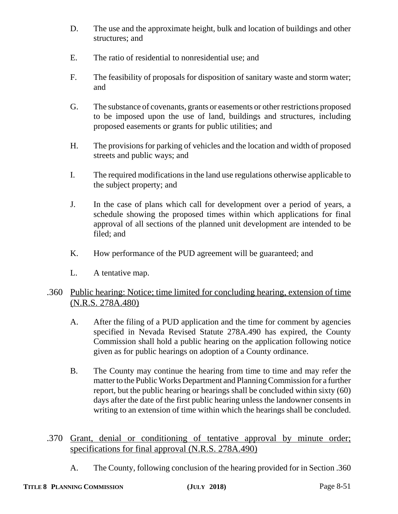- D. The use and the approximate height, bulk and location of buildings and other structures; and
- E. The ratio of residential to nonresidential use; and
- F. The feasibility of proposals for disposition of sanitary waste and storm water; and
- G. The substance of covenants, grants or easements or other restrictions proposed to be imposed upon the use of land, buildings and structures, including proposed easements or grants for public utilities; and
- H. The provisions for parking of vehicles and the location and width of proposed streets and public ways; and
- I. The required modifications in the land use regulations otherwise applicable to the subject property; and
- J. In the case of plans which call for development over a period of years, a schedule showing the proposed times within which applications for final approval of all sections of the planned unit development are intended to be filed; and
- K. How performance of the PUD agreement will be guaranteed; and
- L. A tentative map.

# .360 Public hearing: Notice; time limited for concluding hearing, extension of time (N.R.S. 278A.480)

- A. After the filing of a PUD application and the time for comment by agencies specified in Nevada Revised Statute 278A.490 has expired, the County Commission shall hold a public hearing on the application following notice given as for public hearings on adoption of a County ordinance.
- B. The County may continue the hearing from time to time and may refer the matter to the Public Works Department and Planning Commission for a further report, but the public hearing or hearings shall be concluded within sixty (60) days after the date of the first public hearing unless the landowner consents in writing to an extension of time within which the hearings shall be concluded.
- .370 Grant, denial or conditioning of tentative approval by minute order; specifications for final approval (N.R.S. 278A.490)
	- A. The County, following conclusion of the hearing provided for in Section .360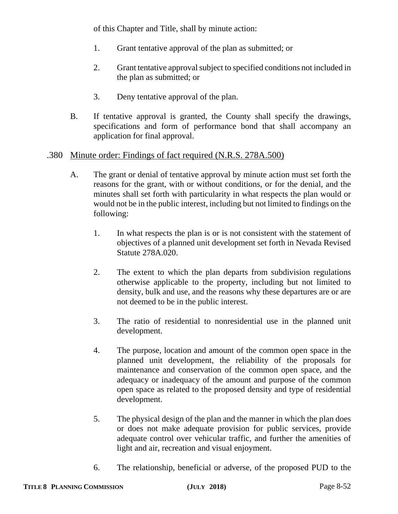of this Chapter and Title, shall by minute action:

- 1. Grant tentative approval of the plan as submitted; or
- 2. Grant tentative approval subject to specified conditions not included in the plan as submitted; or
- 3. Deny tentative approval of the plan.
- B. If tentative approval is granted, the County shall specify the drawings, specifications and form of performance bond that shall accompany an application for final approval.

## .380 Minute order: Findings of fact required (N.R.S. 278A.500)

- A. The grant or denial of tentative approval by minute action must set forth the reasons for the grant, with or without conditions, or for the denial, and the minutes shall set forth with particularity in what respects the plan would or would not be in the public interest, including but not limited to findings on the following:
	- 1. In what respects the plan is or is not consistent with the statement of objectives of a planned unit development set forth in Nevada Revised Statute 278A.020.
	- 2. The extent to which the plan departs from subdivision regulations otherwise applicable to the property, including but not limited to density, bulk and use, and the reasons why these departures are or are not deemed to be in the public interest.
	- 3. The ratio of residential to nonresidential use in the planned unit development.
	- 4. The purpose, location and amount of the common open space in the planned unit development, the reliability of the proposals for maintenance and conservation of the common open space, and the adequacy or inadequacy of the amount and purpose of the common open space as related to the proposed density and type of residential development.
	- 5. The physical design of the plan and the manner in which the plan does or does not make adequate provision for public services, provide adequate control over vehicular traffic, and further the amenities of light and air, recreation and visual enjoyment.
	- 6. The relationship, beneficial or adverse, of the proposed PUD to the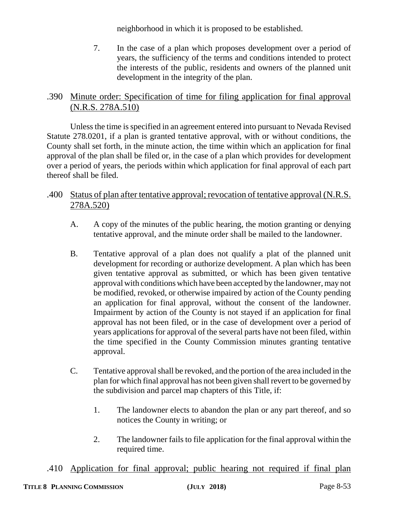neighborhood in which it is proposed to be established.

7. In the case of a plan which proposes development over a period of years, the sufficiency of the terms and conditions intended to protect the interests of the public, residents and owners of the planned unit development in the integrity of the plan.

# .390 Minute order: Specification of time for filing application for final approval (N.R.S. 278A.510)

Unless the time is specified in an agreement entered into pursuant to Nevada Revised Statute 278.0201, if a plan is granted tentative approval, with or without conditions, the County shall set forth, in the minute action, the time within which an application for final approval of the plan shall be filed or, in the case of a plan which provides for development over a period of years, the periods within which application for final approval of each part thereof shall be filed.

# .400 Status of plan after tentative approval; revocation of tentative approval (N.R.S. 278A.520)

- A. A copy of the minutes of the public hearing, the motion granting or denying tentative approval, and the minute order shall be mailed to the landowner.
- B. Tentative approval of a plan does not qualify a plat of the planned unit development for recording or authorize development. A plan which has been given tentative approval as submitted, or which has been given tentative approval with conditions which have been accepted by the landowner, may not be modified, revoked, or otherwise impaired by action of the County pending an application for final approval, without the consent of the landowner. Impairment by action of the County is not stayed if an application for final approval has not been filed, or in the case of development over a period of years applications for approval of the several parts have not been filed, within the time specified in the County Commission minutes granting tentative approval.
- C. Tentative approval shall be revoked, and the portion of the area included in the plan for which final approval has not been given shall revert to be governed by the subdivision and parcel map chapters of this Title, if:
	- 1. The landowner elects to abandon the plan or any part thereof, and so notices the County in writing; or
	- 2. The landowner fails to file application for the final approval within the required time.

.410 Application for final approval; public hearing not required if final plan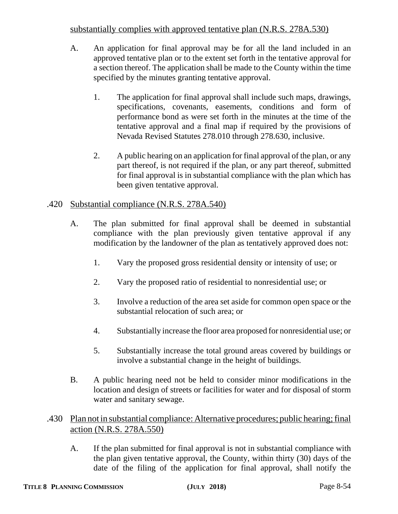# substantially complies with approved tentative plan (N.R.S. 278A.530)

- A. An application for final approval may be for all the land included in an approved tentative plan or to the extent set forth in the tentative approval for a section thereof. The application shall be made to the County within the time specified by the minutes granting tentative approval.
	- 1. The application for final approval shall include such maps, drawings, specifications, covenants, easements, conditions and form of performance bond as were set forth in the minutes at the time of the tentative approval and a final map if required by the provisions of Nevada Revised Statutes 278.010 through 278.630, inclusive.
	- 2. A public hearing on an application for final approval of the plan, or any part thereof, is not required if the plan, or any part thereof, submitted for final approval is in substantial compliance with the plan which has been given tentative approval.

## .420 Substantial compliance (N.R.S. 278A.540)

- A. The plan submitted for final approval shall be deemed in substantial compliance with the plan previously given tentative approval if any modification by the landowner of the plan as tentatively approved does not:
	- 1. Vary the proposed gross residential density or intensity of use; or
	- 2. Vary the proposed ratio of residential to nonresidential use; or
	- 3. Involve a reduction of the area set aside for common open space or the substantial relocation of such area; or
	- 4. Substantially increase the floor area proposed for nonresidential use; or
	- 5. Substantially increase the total ground areas covered by buildings or involve a substantial change in the height of buildings.
- B. A public hearing need not be held to consider minor modifications in the location and design of streets or facilities for water and for disposal of storm water and sanitary sewage.

# .430 Plan not in substantial compliance: Alternative procedures; public hearing; final action (N.R.S. 278A.550)

A. If the plan submitted for final approval is not in substantial compliance with the plan given tentative approval, the County, within thirty (30) days of the date of the filing of the application for final approval, shall notify the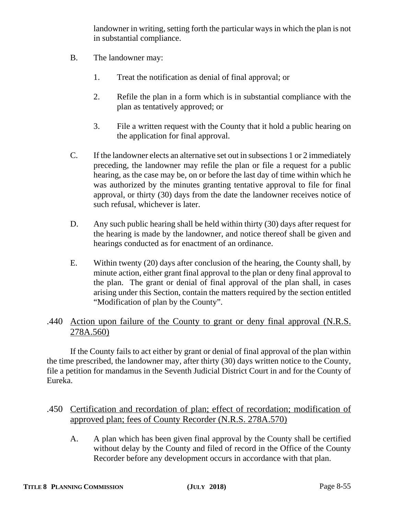landowner in writing, setting forth the particular ways in which the plan is not in substantial compliance.

- B. The landowner may:
	- 1. Treat the notification as denial of final approval; or
	- 2. Refile the plan in a form which is in substantial compliance with the plan as tentatively approved; or
	- 3. File a written request with the County that it hold a public hearing on the application for final approval.
- C. If the landowner elects an alternative set out in subsections 1 or 2 immediately preceding, the landowner may refile the plan or file a request for a public hearing, as the case may be, on or before the last day of time within which he was authorized by the minutes granting tentative approval to file for final approval, or thirty (30) days from the date the landowner receives notice of such refusal, whichever is later.
- D. Any such public hearing shall be held within thirty (30) days after request for the hearing is made by the landowner, and notice thereof shall be given and hearings conducted as for enactment of an ordinance.
- E. Within twenty (20) days after conclusion of the hearing, the County shall, by minute action, either grant final approval to the plan or deny final approval to the plan. The grant or denial of final approval of the plan shall, in cases arising under this Section, contain the matters required by the section entitled "Modification of plan by the County".

# .440 Action upon failure of the County to grant or deny final approval (N.R.S. 278A.560)

If the County fails to act either by grant or denial of final approval of the plan within the time prescribed, the landowner may, after thirty (30) days written notice to the County, file a petition for mandamus in the Seventh Judicial District Court in and for the County of Eureka.

# .450 Certification and recordation of plan; effect of recordation; modification of approved plan; fees of County Recorder (N.R.S. 278A.570)

A. A plan which has been given final approval by the County shall be certified without delay by the County and filed of record in the Office of the County Recorder before any development occurs in accordance with that plan.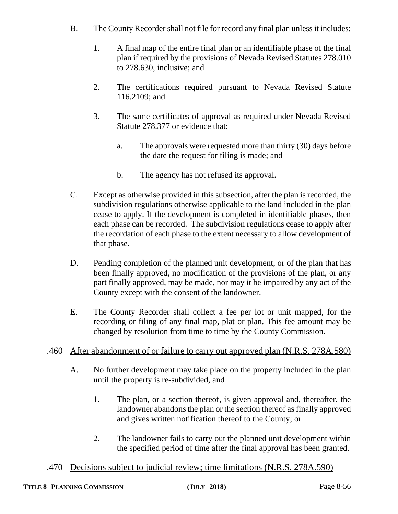- B. The County Recorder shall not file for record any final plan unless it includes:
	- 1. A final map of the entire final plan or an identifiable phase of the final plan if required by the provisions of Nevada Revised Statutes 278.010 to 278.630, inclusive; and
	- 2. The certifications required pursuant to Nevada Revised Statute 116.2109; and
	- 3. The same certificates of approval as required under Nevada Revised Statute 278.377 or evidence that:
		- a. The approvals were requested more than thirty (30) days before the date the request for filing is made; and
		- b. The agency has not refused its approval.
- C. Except as otherwise provided in this subsection, after the plan is recorded, the subdivision regulations otherwise applicable to the land included in the plan cease to apply. If the development is completed in identifiable phases, then each phase can be recorded. The subdivision regulations cease to apply after the recordation of each phase to the extent necessary to allow development of that phase.
- D. Pending completion of the planned unit development, or of the plan that has been finally approved, no modification of the provisions of the plan, or any part finally approved, may be made, nor may it be impaired by any act of the County except with the consent of the landowner.
- E. The County Recorder shall collect a fee per lot or unit mapped, for the recording or filing of any final map, plat or plan. This fee amount may be changed by resolution from time to time by the County Commission.

# .460 After abandonment of or failure to carry out approved plan (N.R.S. 278A.580)

- A. No further development may take place on the property included in the plan until the property is re-subdivided, and
	- 1. The plan, or a section thereof, is given approval and, thereafter, the landowner abandons the plan or the section thereof as finally approved and gives written notification thereof to the County; or
	- 2. The landowner fails to carry out the planned unit development within the specified period of time after the final approval has been granted.
- .470 Decisions subject to judicial review; time limitations (N.R.S. 278A.590)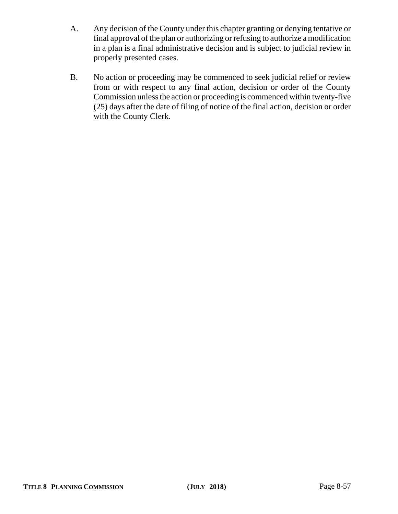- A. Any decision of the County under this chapter granting or denying tentative or final approval of the plan or authorizing or refusing to authorize a modification in a plan is a final administrative decision and is subject to judicial review in properly presented cases.
- B. No action or proceeding may be commenced to seek judicial relief or review from or with respect to any final action, decision or order of the County Commission unless the action or proceeding is commenced within twenty-five (25) days after the date of filing of notice of the final action, decision or order with the County Clerk.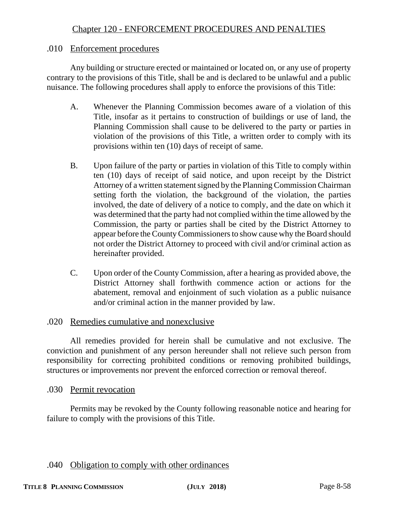# Chapter 120 - ENFORCEMENT PROCEDURES AND PENALTIES

### .010 Enforcement procedures

Any building or structure erected or maintained or located on, or any use of property contrary to the provisions of this Title, shall be and is declared to be unlawful and a public nuisance. The following procedures shall apply to enforce the provisions of this Title:

- A. Whenever the Planning Commission becomes aware of a violation of this Title, insofar as it pertains to construction of buildings or use of land, the Planning Commission shall cause to be delivered to the party or parties in violation of the provisions of this Title, a written order to comply with its provisions within ten (10) days of receipt of same.
- B. Upon failure of the party or parties in violation of this Title to comply within ten (10) days of receipt of said notice, and upon receipt by the District Attorney of a written statement signed by the Planning Commission Chairman setting forth the violation, the background of the violation, the parties involved, the date of delivery of a notice to comply, and the date on which it was determined that the party had not complied within the time allowed by the Commission, the party or parties shall be cited by the District Attorney to appear before the County Commissioners to show cause why the Board should not order the District Attorney to proceed with civil and/or criminal action as hereinafter provided.
- C. Upon order of the County Commission, after a hearing as provided above, the District Attorney shall forthwith commence action or actions for the abatement, removal and enjoinment of such violation as a public nuisance and/or criminal action in the manner provided by law.

### .020 Remedies cumulative and nonexclusive

All remedies provided for herein shall be cumulative and not exclusive. The conviction and punishment of any person hereunder shall not relieve such person from responsibility for correcting prohibited conditions or removing prohibited buildings, structures or improvements nor prevent the enforced correction or removal thereof.

#### .030 Permit revocation

Permits may be revoked by the County following reasonable notice and hearing for failure to comply with the provisions of this Title.

#### .040 Obligation to comply with other ordinances

#### **TITLE 8 PLANNING COMMISSION (JULY 2018)** Page 8-58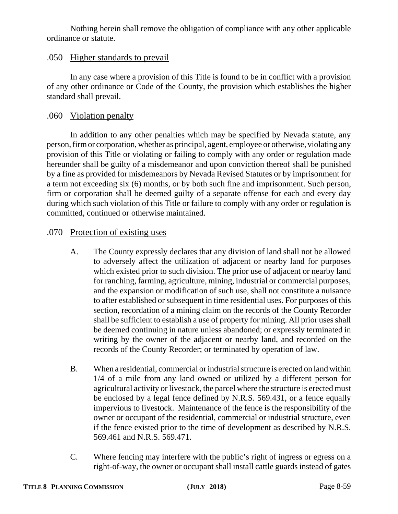Nothing herein shall remove the obligation of compliance with any other applicable ordinance or statute.

## .050 Higher standards to prevail

In any case where a provision of this Title is found to be in conflict with a provision of any other ordinance or Code of the County, the provision which establishes the higher standard shall prevail.

## .060 Violation penalty

In addition to any other penalties which may be specified by Nevada statute, any person, firm or corporation, whether as principal, agent, employee or otherwise, violating any provision of this Title or violating or failing to comply with any order or regulation made hereunder shall be guilty of a misdemeanor and upon conviction thereof shall be punished by a fine as provided for misdemeanors by Nevada Revised Statutes or by imprisonment for a term not exceeding six (6) months, or by both such fine and imprisonment. Such person, firm or corporation shall be deemed guilty of a separate offense for each and every day during which such violation of this Title or failure to comply with any order or regulation is committed, continued or otherwise maintained.

## .070 Protection of existing uses

- A. The County expressly declares that any division of land shall not be allowed to adversely affect the utilization of adjacent or nearby land for purposes which existed prior to such division. The prior use of adjacent or nearby land for ranching, farming, agriculture, mining, industrial or commercial purposes, and the expansion or modification of such use, shall not constitute a nuisance to after established or subsequent in time residential uses. For purposes of this section, recordation of a mining claim on the records of the County Recorder shall be sufficient to establish a use of property for mining. All prior uses shall be deemed continuing in nature unless abandoned; or expressly terminated in writing by the owner of the adjacent or nearby land, and recorded on the records of the County Recorder; or terminated by operation of law.
- B. When a residential, commercial or industrial structure is erected on land within 1/4 of a mile from any land owned or utilized by a different person for agricultural activity or livestock, the parcel where the structure is erected must be enclosed by a legal fence defined by N.R.S. 569.431, or a fence equally impervious to livestock. Maintenance of the fence is the responsibility of the owner or occupant of the residential, commercial or industrial structure, even if the fence existed prior to the time of development as described by N.R.S. 569.461 and N.R.S. 569.471.
- C. Where fencing may interfere with the public's right of ingress or egress on a right-of-way, the owner or occupant shall install cattle guards instead of gates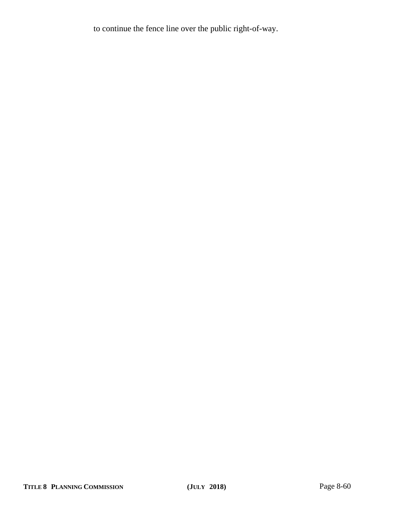to continue the fence line over the public right-of-way.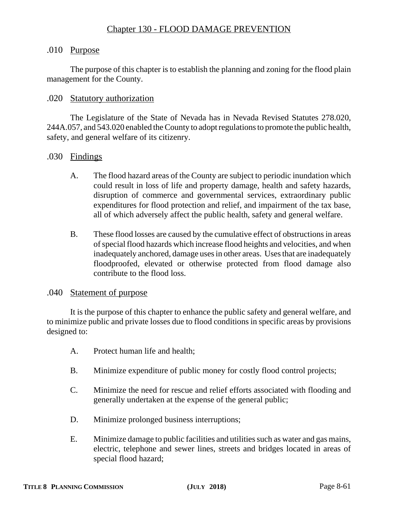## .010 Purpose

The purpose of this chapter is to establish the planning and zoning for the flood plain management for the County.

### .020 Statutory authorization

The Legislature of the State of Nevada has in Nevada Revised Statutes 278.020, 244A.057, and 543.020 enabled the County to adopt regulations to promote the public health, safety, and general welfare of its citizenry.

### .030 Findings

- A. The flood hazard areas of the County are subject to periodic inundation which could result in loss of life and property damage, health and safety hazards, disruption of commerce and governmental services, extraordinary public expenditures for flood protection and relief, and impairment of the tax base, all of which adversely affect the public health, safety and general welfare.
- B. These flood losses are caused by the cumulative effect of obstructions in areas of special flood hazards which increase flood heights and velocities, and when inadequately anchored, damage uses in other areas. Uses that are inadequately floodproofed, elevated or otherwise protected from flood damage also contribute to the flood loss.

#### .040 Statement of purpose

It is the purpose of this chapter to enhance the public safety and general welfare, and to minimize public and private losses due to flood conditions in specific areas by provisions designed to:

- A. Protect human life and health;
- B. Minimize expenditure of public money for costly flood control projects;
- C. Minimize the need for rescue and relief efforts associated with flooding and generally undertaken at the expense of the general public;
- D. Minimize prolonged business interruptions;
- E. Minimize damage to public facilities and utilities such as water and gas mains, electric, telephone and sewer lines, streets and bridges located in areas of special flood hazard;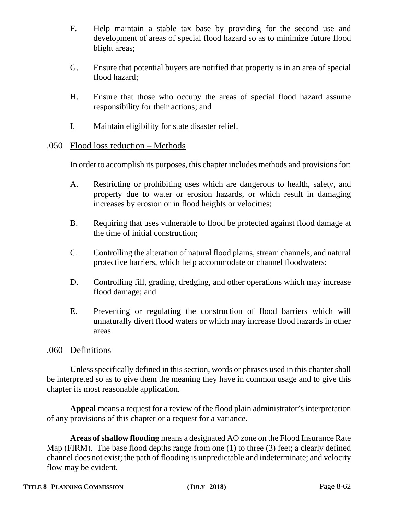- F. Help maintain a stable tax base by providing for the second use and development of areas of special flood hazard so as to minimize future flood blight areas;
- G. Ensure that potential buyers are notified that property is in an area of special flood hazard;
- H. Ensure that those who occupy the areas of special flood hazard assume responsibility for their actions; and
- I. Maintain eligibility for state disaster relief.

## .050 Flood loss reduction – Methods

In order to accomplish its purposes, this chapter includes methods and provisions for:

- A. Restricting or prohibiting uses which are dangerous to health, safety, and property due to water or erosion hazards, or which result in damaging increases by erosion or in flood heights or velocities;
- B. Requiring that uses vulnerable to flood be protected against flood damage at the time of initial construction;
- C. Controlling the alteration of natural flood plains, stream channels, and natural protective barriers, which help accommodate or channel floodwaters;
- D. Controlling fill, grading, dredging, and other operations which may increase flood damage; and
- E. Preventing or regulating the construction of flood barriers which will unnaturally divert flood waters or which may increase flood hazards in other areas.

## .060 Definitions

Unless specifically defined in this section, words or phrases used in this chapter shall be interpreted so as to give them the meaning they have in common usage and to give this chapter its most reasonable application.

**Appeal** means a request for a review of the flood plain administrator's interpretation of any provisions of this chapter or a request for a variance.

**Areas of shallow flooding** means a designated AO zone on the Flood Insurance Rate Map (FIRM). The base flood depths range from one (1) to three (3) feet; a clearly defined channel does not exist; the path of flooding is unpredictable and indeterminate; and velocity flow may be evident.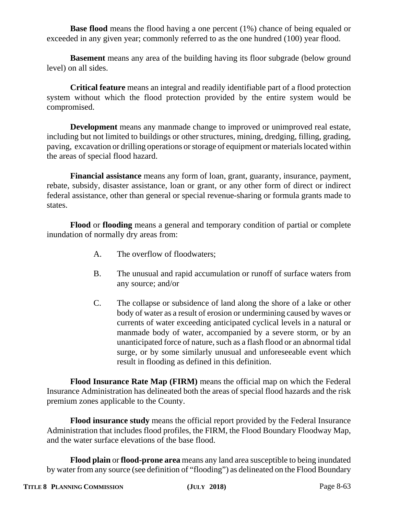**Base flood** means the flood having a one percent (1%) chance of being equaled or exceeded in any given year; commonly referred to as the one hundred (100) year flood.

**Basement** means any area of the building having its floor subgrade (below ground level) on all sides.

**Critical feature** means an integral and readily identifiable part of a flood protection system without which the flood protection provided by the entire system would be compromised.

**Development** means any manmade change to improved or unimproved real estate, including but not limited to buildings or other structures, mining, dredging, filling, grading, paving, excavation or drilling operations or storage of equipment or materials located within the areas of special flood hazard.

**Financial assistance** means any form of loan, grant, guaranty, insurance, payment, rebate, subsidy, disaster assistance, loan or grant, or any other form of direct or indirect federal assistance, other than general or special revenue-sharing or formula grants made to states.

**Flood** or **flooding** means a general and temporary condition of partial or complete inundation of normally dry areas from:

- A. The overflow of floodwaters;
- B. The unusual and rapid accumulation or runoff of surface waters from any source; and/or
- C. The collapse or subsidence of land along the shore of a lake or other body of water as a result of erosion or undermining caused by waves or currents of water exceeding anticipated cyclical levels in a natural or manmade body of water, accompanied by a severe storm, or by an unanticipated force of nature, such as a flash flood or an abnormal tidal surge, or by some similarly unusual and unforeseeable event which result in flooding as defined in this definition.

**Flood Insurance Rate Map (FIRM)** means the official map on which the Federal Insurance Administration has delineated both the areas of special flood hazards and the risk premium zones applicable to the County.

**Flood insurance study** means the official report provided by the Federal Insurance Administration that includes flood profiles, the FIRM, the Flood Boundary Floodway Map, and the water surface elevations of the base flood.

**Flood plain** or **flood-prone area** means any land area susceptible to being inundated by water from any source (see definition of "flooding") as delineated on the Flood Boundary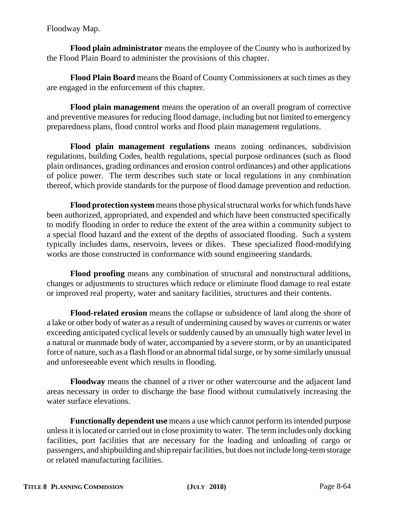Floodway Map.

**Flood plain administrator** means the employee of the County who is authorized by the Flood Plain Board to administer the provisions of this chapter.

**Flood Plain Board** means the Board of County Commissioners at such times as they are engaged in the enforcement of this chapter.

**Flood plain management** means the operation of an overall program of corrective and preventive measures for reducing flood damage, including but not limited to emergency preparedness plans, flood control works and flood plain management regulations.

**Flood plain management regulations** means zoning ordinances, subdivision regulations, building Codes, health regulations, special purpose ordinances (such as flood plain ordinances, grading ordinances and erosion control ordinances) and other applications of police power. The term describes such state or local regulations in any combination thereof, which provide standards for the purpose of flood damage prevention and reduction.

**Flood protection system** means those physical structural works for which funds have been authorized, appropriated, and expended and which have been constructed specifically to modify flooding in order to reduce the extent of the area within a community subject to a special flood hazard and the extent of the depths of associated flooding. Such a system typically includes dams, reservoirs, levees or dikes. These specialized flood-modifying works are those constructed in conformance with sound engineering standards.

**Flood proofing** means any combination of structural and nonstructural additions, changes or adjustments to structures which reduce or eliminate flood damage to real estate or improved real property, water and sanitary facilities, structures and their contents.

**Flood-related erosion** means the collapse or subsidence of land along the shore of a lake or other body of water as a result of undermining caused by waves or currents or water exceeding anticipated cyclical levels or suddenly caused by an unusually high water level in a natural or manmade body of water, accompanied by a severe storm, or by an unanticipated force of nature, such as a flash flood or an abnormal tidal surge, or by some similarly unusual and unforeseeable event which results in flooding.

**Floodway** means the channel of a river or other watercourse and the adjacent land areas necessary in order to discharge the base flood without cumulatively increasing the water surface elevations.

**Functionally dependent use** means a use which cannot perform its intended purpose unless it is located or carried out in close proximity to water. The term includes only docking facilities, port facilities that are necessary for the loading and unloading of cargo or passengers, and shipbuilding and ship repair facilities, but does not include long-term storage or related manufacturing facilities.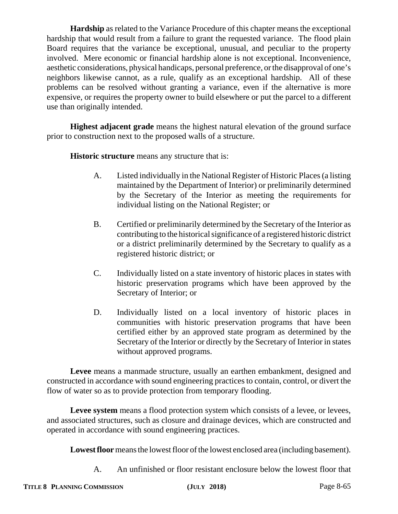**Hardship** as related to the Variance Procedure of this chapter means the exceptional hardship that would result from a failure to grant the requested variance. The flood plain Board requires that the variance be exceptional, unusual, and peculiar to the property involved. Mere economic or financial hardship alone is not exceptional. Inconvenience, aesthetic considerations, physical handicaps, personal preference, or the disapproval of one's neighbors likewise cannot, as a rule, qualify as an exceptional hardship. All of these problems can be resolved without granting a variance, even if the alternative is more expensive, or requires the property owner to build elsewhere or put the parcel to a different use than originally intended.

**Highest adjacent grade** means the highest natural elevation of the ground surface prior to construction next to the proposed walls of a structure.

**Historic structure** means any structure that is:

- A. Listed individually in the National Register of Historic Places (a listing maintained by the Department of Interior) or preliminarily determined by the Secretary of the Interior as meeting the requirements for individual listing on the National Register; or
- B. Certified or preliminarily determined by the Secretary of the Interior as contributing to the historical significance of a registered historic district or a district preliminarily determined by the Secretary to qualify as a registered historic district; or
- C. Individually listed on a state inventory of historic places in states with historic preservation programs which have been approved by the Secretary of Interior; or
- D. Individually listed on a local inventory of historic places in communities with historic preservation programs that have been certified either by an approved state program as determined by the Secretary of the Interior or directly by the Secretary of Interior in states without approved programs.

**Levee** means a manmade structure, usually an earthen embankment, designed and constructed in accordance with sound engineering practices to contain, control, or divert the flow of water so as to provide protection from temporary flooding.

Levee system means a flood protection system which consists of a levee, or levees, and associated structures, such as closure and drainage devices, which are constructed and operated in accordance with sound engineering practices.

**Lowest floor** means the lowest floor of the lowest enclosed area (including basement).

A. An unfinished or floor resistant enclosure below the lowest floor that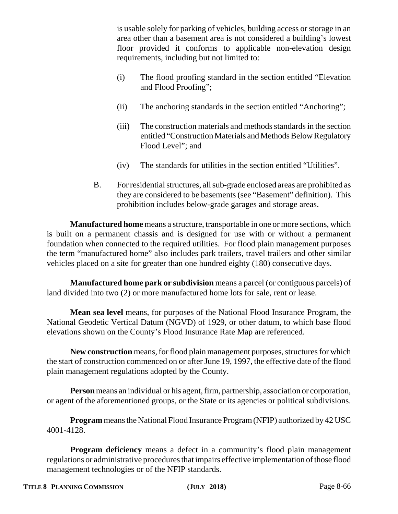is usable solely for parking of vehicles, building access or storage in an area other than a basement area is not considered a building's lowest floor provided it conforms to applicable non-elevation design requirements, including but not limited to:

- (i) The flood proofing standard in the section entitled "Elevation and Flood Proofing";
- (ii) The anchoring standards in the section entitled "Anchoring";
- (iii) The construction materials and methods standards in the section entitled "Construction Materials and Methods Below Regulatory Flood Level"; and
- (iv) The standards for utilities in the section entitled "Utilities".
- B. For residential structures, all sub-grade enclosed areas are prohibited as they are considered to be basements (see "Basement" definition). This prohibition includes below-grade garages and storage areas.

**Manufactured home** means a structure, transportable in one or more sections, which is built on a permanent chassis and is designed for use with or without a permanent foundation when connected to the required utilities. For flood plain management purposes the term "manufactured home" also includes park trailers, travel trailers and other similar vehicles placed on a site for greater than one hundred eighty (180) consecutive days.

**Manufactured home park or subdivision** means a parcel (or contiguous parcels) of land divided into two (2) or more manufactured home lots for sale, rent or lease.

**Mean sea level** means, for purposes of the National Flood Insurance Program, the National Geodetic Vertical Datum (NGVD) of 1929, or other datum, to which base flood elevations shown on the County's Flood Insurance Rate Map are referenced.

**New construction** means, for flood plain management purposes, structures for which the start of construction commenced on or after June 19, 1997, the effective date of the flood plain management regulations adopted by the County.

**Person** means an individual or his agent, firm, partnership, association or corporation, or agent of the aforementioned groups, or the State or its agencies or political subdivisions.

**Program** means the National Flood Insurance Program (NFIP) authorized by 42 USC 4001-4128.

**Program deficiency** means a defect in a community's flood plain management regulations or administrative procedures that impairs effective implementation of those flood management technologies or of the NFIP standards.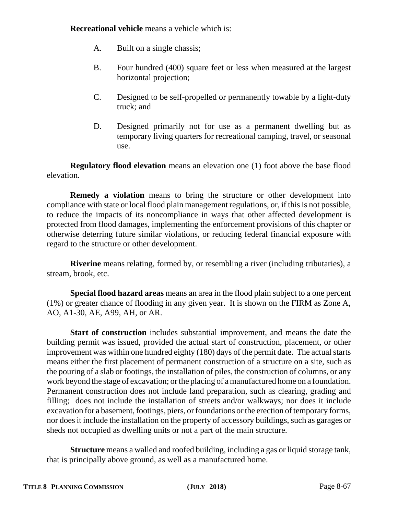**Recreational vehicle** means a vehicle which is:

- A. Built on a single chassis;
- B. Four hundred (400) square feet or less when measured at the largest horizontal projection;
- C. Designed to be self-propelled or permanently towable by a light-duty truck; and
- D. Designed primarily not for use as a permanent dwelling but as temporary living quarters for recreational camping, travel, or seasonal use.

**Regulatory flood elevation** means an elevation one (1) foot above the base flood elevation.

**Remedy a violation** means to bring the structure or other development into compliance with state or local flood plain management regulations, or, if this is not possible, to reduce the impacts of its noncompliance in ways that other affected development is protected from flood damages, implementing the enforcement provisions of this chapter or otherwise deterring future similar violations, or reducing federal financial exposure with regard to the structure or other development.

**Riverine** means relating, formed by, or resembling a river (including tributaries), a stream, brook, etc.

**Special flood hazard areas** means an area in the flood plain subject to a one percent (1%) or greater chance of flooding in any given year. It is shown on the FIRM as Zone A, AO, A1-30, AE, A99, AH, or AR.

**Start of construction** includes substantial improvement, and means the date the building permit was issued, provided the actual start of construction, placement, or other improvement was within one hundred eighty (180) days of the permit date. The actual starts means either the first placement of permanent construction of a structure on a site, such as the pouring of a slab or footings, the installation of piles, the construction of columns, or any work beyond the stage of excavation; or the placing of a manufactured home on a foundation. Permanent construction does not include land preparation, such as clearing, grading and filling; does not include the installation of streets and/or walkways; nor does it include excavation for a basement, footings, piers, or foundations or the erection of temporary forms, nor does it include the installation on the property of accessory buildings, such as garages or sheds not occupied as dwelling units or not a part of the main structure.

**Structure** means a walled and roofed building, including a gas or liquid storage tank, that is principally above ground, as well as a manufactured home.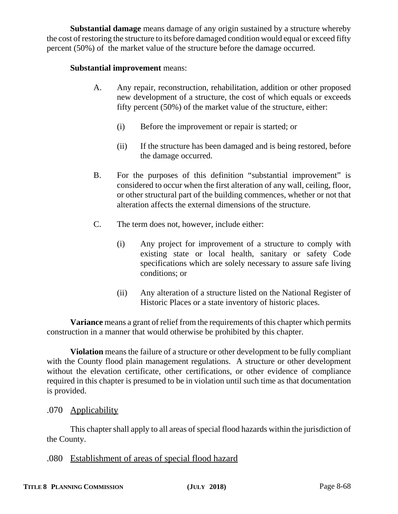**Substantial damage** means damage of any origin sustained by a structure whereby the cost of restoring the structure to its before damaged condition would equal or exceed fifty percent (50%) of the market value of the structure before the damage occurred.

### **Substantial improvement** means:

- A. Any repair, reconstruction, rehabilitation, addition or other proposed new development of a structure, the cost of which equals or exceeds fifty percent (50%) of the market value of the structure, either:
	- (i) Before the improvement or repair is started; or
	- (ii) If the structure has been damaged and is being restored, before the damage occurred.
- B. For the purposes of this definition "substantial improvement" is considered to occur when the first alteration of any wall, ceiling, floor, or other structural part of the building commences, whether or not that alteration affects the external dimensions of the structure.
- C. The term does not, however, include either:
	- (i) Any project for improvement of a structure to comply with existing state or local health, sanitary or safety Code specifications which are solely necessary to assure safe living conditions; or
	- (ii) Any alteration of a structure listed on the National Register of Historic Places or a state inventory of historic places.

**Variance** means a grant of relief from the requirements of this chapter which permits construction in a manner that would otherwise be prohibited by this chapter.

**Violation** means the failure of a structure or other development to be fully compliant with the County flood plain management regulations. A structure or other development without the elevation certificate, other certifications, or other evidence of compliance required in this chapter is presumed to be in violation until such time as that documentation is provided.

## .070 Applicability

This chapter shall apply to all areas of special flood hazards within the jurisdiction of the County.

.080 Establishment of areas of special flood hazard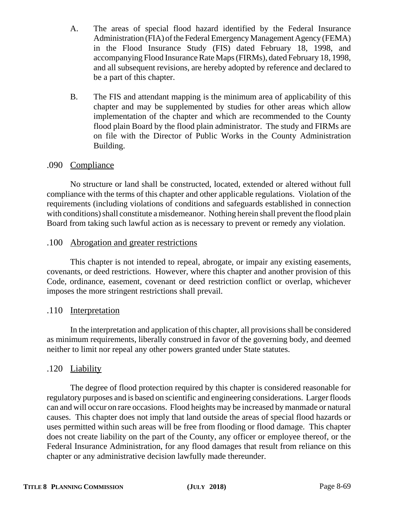- A. The areas of special flood hazard identified by the Federal Insurance Administration (FIA) of the Federal Emergency Management Agency (FEMA) in the Flood Insurance Study (FIS) dated February 18, 1998, and accompanying Flood Insurance Rate Maps (FIRMs), dated February 18, 1998, and all subsequent revisions, are hereby adopted by reference and declared to be a part of this chapter.
- B. The FIS and attendant mapping is the minimum area of applicability of this chapter and may be supplemented by studies for other areas which allow implementation of the chapter and which are recommended to the County flood plain Board by the flood plain administrator. The study and FIRMs are on file with the Director of Public Works in the County Administration Building.

## .090 Compliance

No structure or land shall be constructed, located, extended or altered without full compliance with the terms of this chapter and other applicable regulations. Violation of the requirements (including violations of conditions and safeguards established in connection with conditions) shall constitute a misdemeanor. Nothing herein shall prevent the flood plain Board from taking such lawful action as is necessary to prevent or remedy any violation.

## .100 Abrogation and greater restrictions

This chapter is not intended to repeal, abrogate, or impair any existing easements, covenants, or deed restrictions. However, where this chapter and another provision of this Code, ordinance, easement, covenant or deed restriction conflict or overlap, whichever imposes the more stringent restrictions shall prevail.

## .110 Interpretation

In the interpretation and application of this chapter, all provisions shall be considered as minimum requirements, liberally construed in favor of the governing body, and deemed neither to limit nor repeal any other powers granted under State statutes.

# .120 Liability

The degree of flood protection required by this chapter is considered reasonable for regulatory purposes and is based on scientific and engineering considerations. Larger floods can and will occur on rare occasions. Flood heights may be increased by manmade or natural causes. This chapter does not imply that land outside the areas of special flood hazards or uses permitted within such areas will be free from flooding or flood damage. This chapter does not create liability on the part of the County, any officer or employee thereof, or the Federal Insurance Administration, for any flood damages that result from reliance on this chapter or any administrative decision lawfully made thereunder.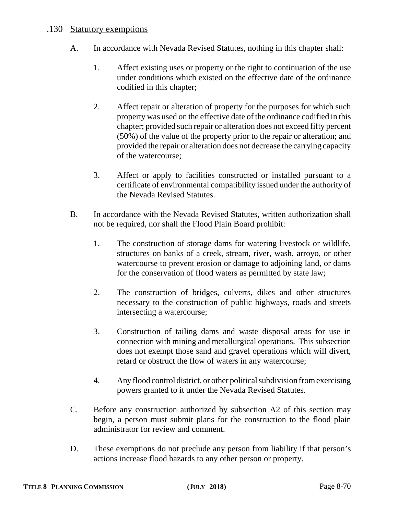### .130 Statutory exemptions

- A. In accordance with Nevada Revised Statutes, nothing in this chapter shall:
	- 1. Affect existing uses or property or the right to continuation of the use under conditions which existed on the effective date of the ordinance codified in this chapter;
	- 2. Affect repair or alteration of property for the purposes for which such property was used on the effective date of the ordinance codified in this chapter; provided such repair or alteration does not exceed fifty percent (50%) of the value of the property prior to the repair or alteration; and provided the repair or alteration does not decrease the carrying capacity of the watercourse;
	- 3. Affect or apply to facilities constructed or installed pursuant to a certificate of environmental compatibility issued under the authority of the Nevada Revised Statutes.
- B. In accordance with the Nevada Revised Statutes, written authorization shall not be required, nor shall the Flood Plain Board prohibit:
	- 1. The construction of storage dams for watering livestock or wildlife, structures on banks of a creek, stream, river, wash, arroyo, or other watercourse to prevent erosion or damage to adjoining land, or dams for the conservation of flood waters as permitted by state law;
	- 2. The construction of bridges, culverts, dikes and other structures necessary to the construction of public highways, roads and streets intersecting a watercourse;
	- 3. Construction of tailing dams and waste disposal areas for use in connection with mining and metallurgical operations. This subsection does not exempt those sand and gravel operations which will divert, retard or obstruct the flow of waters in any watercourse;
	- 4. Any flood control district, or other political subdivision from exercising powers granted to it under the Nevada Revised Statutes.
- C. Before any construction authorized by subsection A2 of this section may begin, a person must submit plans for the construction to the flood plain administrator for review and comment.
- D. These exemptions do not preclude any person from liability if that person's actions increase flood hazards to any other person or property.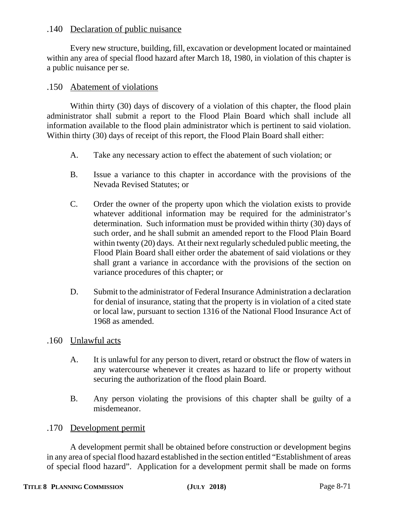### .140 Declaration of public nuisance

Every new structure, building, fill, excavation or development located or maintained within any area of special flood hazard after March 18, 1980, in violation of this chapter is a public nuisance per se.

### .150 Abatement of violations

Within thirty (30) days of discovery of a violation of this chapter, the flood plain administrator shall submit a report to the Flood Plain Board which shall include all information available to the flood plain administrator which is pertinent to said violation. Within thirty (30) days of receipt of this report, the Flood Plain Board shall either:

- A. Take any necessary action to effect the abatement of such violation; or
- B. Issue a variance to this chapter in accordance with the provisions of the Nevada Revised Statutes; or
- C. Order the owner of the property upon which the violation exists to provide whatever additional information may be required for the administrator's determination. Such information must be provided within thirty (30) days of such order, and he shall submit an amended report to the Flood Plain Board within twenty (20) days. At their next regularly scheduled public meeting, the Flood Plain Board shall either order the abatement of said violations or they shall grant a variance in accordance with the provisions of the section on variance procedures of this chapter; or
- D. Submit to the administrator of Federal Insurance Administration a declaration for denial of insurance, stating that the property is in violation of a cited state or local law, pursuant to section 1316 of the National Flood Insurance Act of 1968 as amended.
- .160 Unlawful acts
	- A. It is unlawful for any person to divert, retard or obstruct the flow of waters in any watercourse whenever it creates as hazard to life or property without securing the authorization of the flood plain Board.
	- B. Any person violating the provisions of this chapter shall be guilty of a misdemeanor.

#### .170 Development permit

A development permit shall be obtained before construction or development begins in any area of special flood hazard established in the section entitled "Establishment of areas of special flood hazard". Application for a development permit shall be made on forms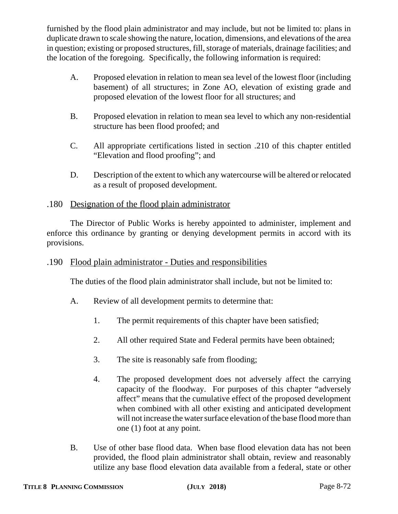furnished by the flood plain administrator and may include, but not be limited to: plans in duplicate drawn to scale showing the nature, location, dimensions, and elevations of the area in question; existing or proposed structures, fill, storage of materials, drainage facilities; and the location of the foregoing. Specifically, the following information is required:

- A. Proposed elevation in relation to mean sea level of the lowest floor (including basement) of all structures; in Zone AO, elevation of existing grade and proposed elevation of the lowest floor for all structures; and
- B. Proposed elevation in relation to mean sea level to which any non-residential structure has been flood proofed; and
- C. All appropriate certifications listed in section .210 of this chapter entitled "Elevation and flood proofing"; and
- D. Description of the extent to which any watercourse will be altered or relocated as a result of proposed development.

## .180 Designation of the flood plain administrator

The Director of Public Works is hereby appointed to administer, implement and enforce this ordinance by granting or denying development permits in accord with its provisions.

## .190 Flood plain administrator - Duties and responsibilities

The duties of the flood plain administrator shall include, but not be limited to:

- A. Review of all development permits to determine that:
	- 1. The permit requirements of this chapter have been satisfied;
	- 2. All other required State and Federal permits have been obtained;
	- 3. The site is reasonably safe from flooding;
	- 4. The proposed development does not adversely affect the carrying capacity of the floodway. For purposes of this chapter "adversely affect" means that the cumulative effect of the proposed development when combined with all other existing and anticipated development will not increase the water surface elevation of the base flood more than one (1) foot at any point.
- B. Use of other base flood data. When base flood elevation data has not been provided, the flood plain administrator shall obtain, review and reasonably utilize any base flood elevation data available from a federal, state or other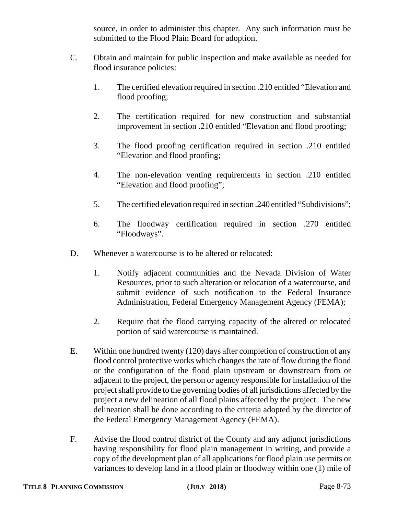source, in order to administer this chapter. Any such information must be submitted to the Flood Plain Board for adoption.

- C. Obtain and maintain for public inspection and make available as needed for flood insurance policies:
	- 1. The certified elevation required in section .210 entitled "Elevation and flood proofing;
	- 2. The certification required for new construction and substantial improvement in section .210 entitled "Elevation and flood proofing;
	- 3. The flood proofing certification required in section .210 entitled "Elevation and flood proofing;
	- 4. The non-elevation venting requirements in section .210 entitled "Elevation and flood proofing";
	- 5. The certified elevation required in section .240 entitled "Subdivisions";
	- 6. The floodway certification required in section .270 entitled "Floodways".
- D. Whenever a watercourse is to be altered or relocated:
	- 1. Notify adjacent communities and the Nevada Division of Water Resources, prior to such alteration or relocation of a watercourse, and submit evidence of such notification to the Federal Insurance Administration, Federal Emergency Management Agency (FEMA);
	- 2. Require that the flood carrying capacity of the altered or relocated portion of said watercourse is maintained.
- E. Within one hundred twenty (120) days after completion of construction of any flood control protective works which changes the rate of flow during the flood or the configuration of the flood plain upstream or downstream from or adjacent to the project, the person or agency responsible for installation of the project shall provide to the governing bodies of all jurisdictions affected by the project a new delineation of all flood plains affected by the project. The new delineation shall be done according to the criteria adopted by the director of the Federal Emergency Management Agency (FEMA).
- F. Advise the flood control district of the County and any adjunct jurisdictions having responsibility for flood plain management in writing, and provide a copy of the development plan of all applications for flood plain use permits or variances to develop land in a flood plain or floodway within one (1) mile of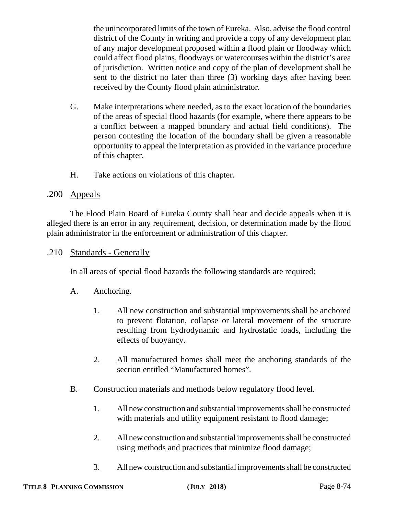the unincorporated limits of the town of Eureka. Also, advise the flood control district of the County in writing and provide a copy of any development plan of any major development proposed within a flood plain or floodway which could affect flood plains, floodways or watercourses within the district's area of jurisdiction. Written notice and copy of the plan of development shall be sent to the district no later than three (3) working days after having been received by the County flood plain administrator.

- G. Make interpretations where needed, as to the exact location of the boundaries of the areas of special flood hazards (for example, where there appears to be a conflict between a mapped boundary and actual field conditions). The person contesting the location of the boundary shall be given a reasonable opportunity to appeal the interpretation as provided in the variance procedure of this chapter.
- H. Take actions on violations of this chapter.

# .200 Appeals

The Flood Plain Board of Eureka County shall hear and decide appeals when it is alleged there is an error in any requirement, decision, or determination made by the flood plain administrator in the enforcement or administration of this chapter.

.210 Standards - Generally

In all areas of special flood hazards the following standards are required:

- A. Anchoring.
	- 1. All new construction and substantial improvements shall be anchored to prevent flotation, collapse or lateral movement of the structure resulting from hydrodynamic and hydrostatic loads, including the effects of buoyancy.
	- 2. All manufactured homes shall meet the anchoring standards of the section entitled "Manufactured homes".
- B. Construction materials and methods below regulatory flood level.
	- 1. All new construction and substantial improvements shall be constructed with materials and utility equipment resistant to flood damage;
	- 2. All new construction and substantial improvements shall be constructed using methods and practices that minimize flood damage;
	- 3. All new construction and substantial improvements shall be constructed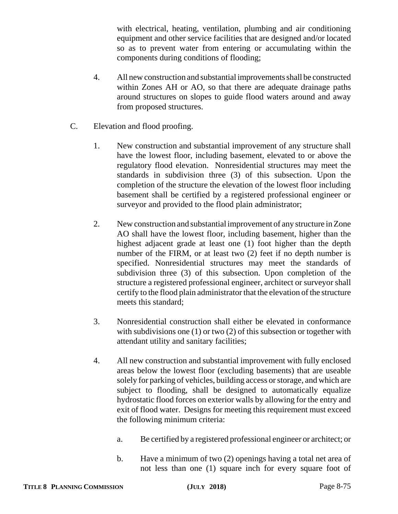with electrical, heating, ventilation, plumbing and air conditioning equipment and other service facilities that are designed and/or located so as to prevent water from entering or accumulating within the components during conditions of flooding;

- 4. All new construction and substantial improvements shall be constructed within Zones AH or AO, so that there are adequate drainage paths around structures on slopes to guide flood waters around and away from proposed structures.
- C. Elevation and flood proofing.
	- 1. New construction and substantial improvement of any structure shall have the lowest floor, including basement, elevated to or above the regulatory flood elevation. Nonresidential structures may meet the standards in subdivision three (3) of this subsection. Upon the completion of the structure the elevation of the lowest floor including basement shall be certified by a registered professional engineer or surveyor and provided to the flood plain administrator;
	- 2. New construction and substantial improvement of any structure in Zone AO shall have the lowest floor, including basement, higher than the highest adjacent grade at least one (1) foot higher than the depth number of the FIRM, or at least two (2) feet if no depth number is specified. Nonresidential structures may meet the standards of subdivision three (3) of this subsection. Upon completion of the structure a registered professional engineer, architect or surveyor shall certify to the flood plain administrator that the elevation of the structure meets this standard;
	- 3. Nonresidential construction shall either be elevated in conformance with subdivisions one (1) or two (2) of this subsection or together with attendant utility and sanitary facilities;
	- 4. All new construction and substantial improvement with fully enclosed areas below the lowest floor (excluding basements) that are useable solely for parking of vehicles, building access or storage, and which are subject to flooding, shall be designed to automatically equalize hydrostatic flood forces on exterior walls by allowing for the entry and exit of flood water. Designs for meeting this requirement must exceed the following minimum criteria:
		- a. Be certified by a registered professional engineer or architect; or
		- b. Have a minimum of two (2) openings having a total net area of not less than one (1) square inch for every square foot of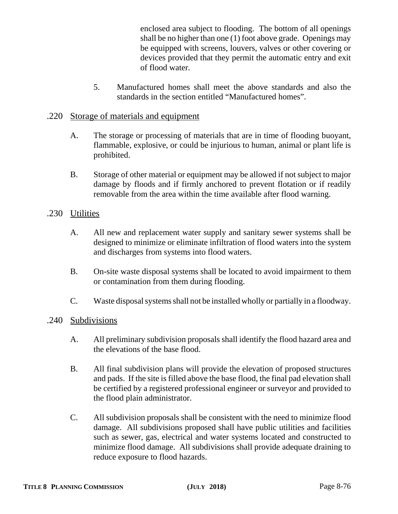enclosed area subject to flooding. The bottom of all openings shall be no higher than one (1) foot above grade. Openings may be equipped with screens, louvers, valves or other covering or devices provided that they permit the automatic entry and exit of flood water.

5. Manufactured homes shall meet the above standards and also the standards in the section entitled "Manufactured homes".

# .220 Storage of materials and equipment

- A. The storage or processing of materials that are in time of flooding buoyant, flammable, explosive, or could be injurious to human, animal or plant life is prohibited.
- B. Storage of other material or equipment may be allowed if not subject to major damage by floods and if firmly anchored to prevent flotation or if readily removable from the area within the time available after flood warning.

# .230 Utilities

- A. All new and replacement water supply and sanitary sewer systems shall be designed to minimize or eliminate infiltration of flood waters into the system and discharges from systems into flood waters.
- B. On-site waste disposal systems shall be located to avoid impairment to them or contamination from them during flooding.
- C. Waste disposal systems shall not be installed wholly or partially in a floodway.

# .240 Subdivisions

- A. All preliminary subdivision proposals shall identify the flood hazard area and the elevations of the base flood.
- B. All final subdivision plans will provide the elevation of proposed structures and pads. If the site is filled above the base flood, the final pad elevation shall be certified by a registered professional engineer or surveyor and provided to the flood plain administrator.
- C. All subdivision proposals shall be consistent with the need to minimize flood damage. All subdivisions proposed shall have public utilities and facilities such as sewer, gas, electrical and water systems located and constructed to minimize flood damage. All subdivisions shall provide adequate draining to reduce exposure to flood hazards.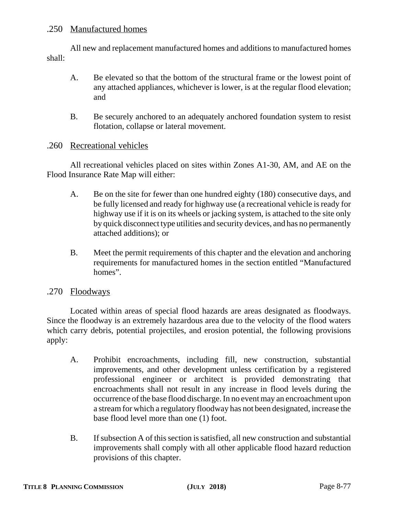# .250 Manufactured homes

All new and replacement manufactured homes and additions to manufactured homes shall:

- A. Be elevated so that the bottom of the structural frame or the lowest point of any attached appliances, whichever is lower, is at the regular flood elevation; and
- B. Be securely anchored to an adequately anchored foundation system to resist flotation, collapse or lateral movement.

### .260 Recreational vehicles

All recreational vehicles placed on sites within Zones A1-30, AM, and AE on the Flood Insurance Rate Map will either:

- A. Be on the site for fewer than one hundred eighty (180) consecutive days, and be fully licensed and ready for highway use (a recreational vehicle is ready for highway use if it is on its wheels or jacking system, is attached to the site only by quick disconnect type utilities and security devices, and has no permanently attached additions); or
- B. Meet the permit requirements of this chapter and the elevation and anchoring requirements for manufactured homes in the section entitled "Manufactured homes".

#### .270 Floodways

Located within areas of special flood hazards are areas designated as floodways. Since the floodway is an extremely hazardous area due to the velocity of the flood waters which carry debris, potential projectiles, and erosion potential, the following provisions apply:

- A. Prohibit encroachments, including fill, new construction, substantial improvements, and other development unless certification by a registered professional engineer or architect is provided demonstrating that encroachments shall not result in any increase in flood levels during the occurrence of the base flood discharge. In no event may an encroachment upon a stream for which a regulatory floodway has not been designated, increase the base flood level more than one (1) foot.
- B. If subsection A of this section is satisfied, all new construction and substantial improvements shall comply with all other applicable flood hazard reduction provisions of this chapter.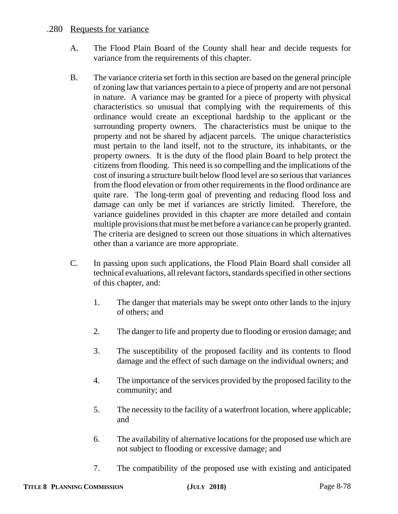## .280 Requests for variance

- A. The Flood Plain Board of the County shall hear and decide requests for variance from the requirements of this chapter.
- B. The variance criteria set forth in this section are based on the general principle of zoning law that variances pertain to a piece of property and are not personal in nature. A variance may be granted for a piece of property with physical characteristics so unusual that complying with the requirements of this ordinance would create an exceptional hardship to the applicant or the surrounding property owners. The characteristics must be unique to the property and not be shared by adjacent parcels. The unique characteristics must pertain to the land itself, not to the structure, its inhabitants, or the property owners. It is the duty of the flood plain Board to help protect the citizens from flooding. This need is so compelling and the implications of the cost of insuring a structure built below flood level are so serious that variances from the flood elevation or from other requirements in the flood ordinance are quite rare. The long-term goal of preventing and reducing flood loss and damage can only be met if variances are strictly limited. Therefore, the variance guidelines provided in this chapter are more detailed and contain multiple provisions that must be met before a variance can be properly granted. The criteria are designed to screen out those situations in which alternatives other than a variance are more appropriate.
- C. In passing upon such applications, the Flood Plain Board shall consider all technical evaluations, all relevant factors, standards specified in other sections of this chapter, and:
	- 1. The danger that materials may be swept onto other lands to the injury of others; and
	- 2. The danger to life and property due to flooding or erosion damage; and
	- 3. The susceptibility of the proposed facility and its contents to flood damage and the effect of such damage on the individual owners; and
	- 4. The importance of the services provided by the proposed facility to the community; and
	- 5. The necessity to the facility of a waterfront location, where applicable; and
	- 6. The availability of alternative locations for the proposed use which are not subject to flooding or excessive damage; and
	- 7. The compatibility of the proposed use with existing and anticipated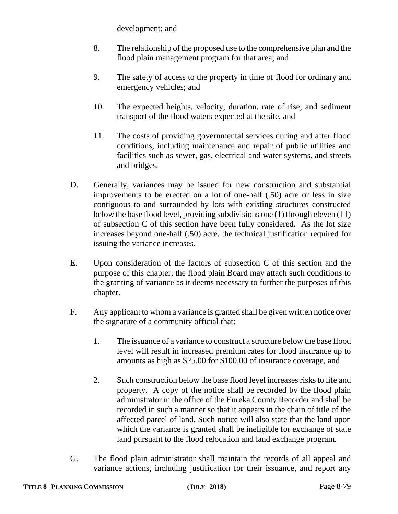development; and

- 8. The relationship of the proposed use to the comprehensive plan and the flood plain management program for that area; and
- 9. The safety of access to the property in time of flood for ordinary and emergency vehicles; and
- 10. The expected heights, velocity, duration, rate of rise, and sediment transport of the flood waters expected at the site, and
- 11. The costs of providing governmental services during and after flood conditions, including maintenance and repair of public utilities and facilities such as sewer, gas, electrical and water systems, and streets and bridges.
- D. Generally, variances may be issued for new construction and substantial improvements to be erected on a lot of one-half (.50) acre or less in size contiguous to and surrounded by lots with existing structures constructed below the base flood level, providing subdivisions one (1) through eleven (11) of subsection C of this section have been fully considered. As the lot size increases beyond one-half (.50) acre, the technical justification required for issuing the variance increases.
- E. Upon consideration of the factors of subsection C of this section and the purpose of this chapter, the flood plain Board may attach such conditions to the granting of variance as it deems necessary to further the purposes of this chapter.
- F. Any applicant to whom a variance is granted shall be given written notice over the signature of a community official that:
	- 1. The issuance of a variance to construct a structure below the base flood level will result in increased premium rates for flood insurance up to amounts as high as \$25.00 for \$100.00 of insurance coverage, and
	- 2. Such construction below the base flood level increases risks to life and property. A copy of the notice shall be recorded by the flood plain administrator in the office of the Eureka County Recorder and shall be recorded in such a manner so that it appears in the chain of title of the affected parcel of land. Such notice will also state that the land upon which the variance is granted shall be ineligible for exchange of state land pursuant to the flood relocation and land exchange program.
- G. The flood plain administrator shall maintain the records of all appeal and variance actions, including justification for their issuance, and report any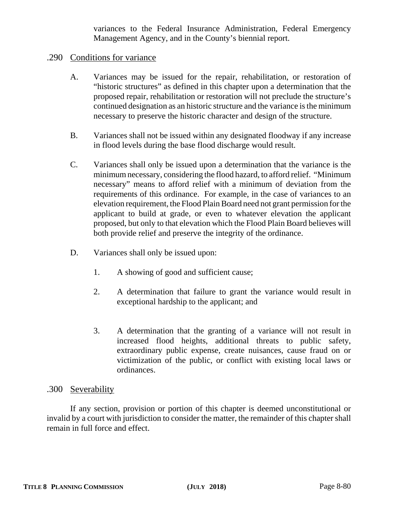variances to the Federal Insurance Administration, Federal Emergency Management Agency, and in the County's biennial report.

### .290 Conditions for variance

- A. Variances may be issued for the repair, rehabilitation, or restoration of "historic structures" as defined in this chapter upon a determination that the proposed repair, rehabilitation or restoration will not preclude the structure's continued designation as an historic structure and the variance is the minimum necessary to preserve the historic character and design of the structure.
- B. Variances shall not be issued within any designated floodway if any increase in flood levels during the base flood discharge would result.
- C. Variances shall only be issued upon a determination that the variance is the minimum necessary, considering the flood hazard, to afford relief. "Minimum necessary" means to afford relief with a minimum of deviation from the requirements of this ordinance. For example, in the case of variances to an elevation requirement, the Flood Plain Board need not grant permission for the applicant to build at grade, or even to whatever elevation the applicant proposed, but only to that elevation which the Flood Plain Board believes will both provide relief and preserve the integrity of the ordinance.
- D. Variances shall only be issued upon:
	- 1. A showing of good and sufficient cause;
	- 2. A determination that failure to grant the variance would result in exceptional hardship to the applicant; and
	- 3. A determination that the granting of a variance will not result in increased flood heights, additional threats to public safety, extraordinary public expense, create nuisances, cause fraud on or victimization of the public, or conflict with existing local laws or ordinances.

#### .300 Severability

If any section, provision or portion of this chapter is deemed unconstitutional or invalid by a court with jurisdiction to consider the matter, the remainder of this chapter shall remain in full force and effect.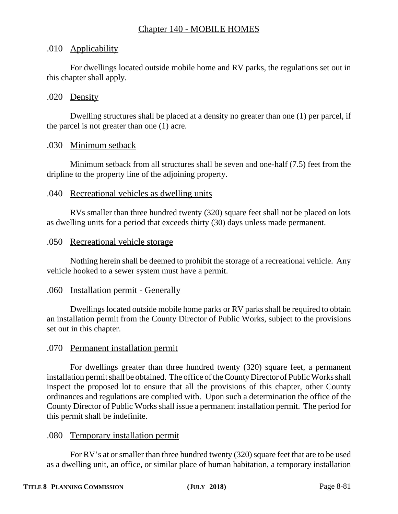# Chapter 140 - MOBILE HOMES

# .010 Applicability

For dwellings located outside mobile home and RV parks, the regulations set out in this chapter shall apply.

## .020 Density

Dwelling structures shall be placed at a density no greater than one (1) per parcel, if the parcel is not greater than one (1) acre.

### .030 Minimum setback

Minimum setback from all structures shall be seven and one-half (7.5) feet from the dripline to the property line of the adjoining property.

### .040 Recreational vehicles as dwelling units

RVs smaller than three hundred twenty (320) square feet shall not be placed on lots as dwelling units for a period that exceeds thirty (30) days unless made permanent.

### .050 Recreational vehicle storage

Nothing herein shall be deemed to prohibit the storage of a recreational vehicle. Any vehicle hooked to a sewer system must have a permit.

#### .060 Installation permit - Generally

Dwellings located outside mobile home parks or RV parks shall be required to obtain an installation permit from the County Director of Public Works, subject to the provisions set out in this chapter.

# .070 Permanent installation permit

For dwellings greater than three hundred twenty (320) square feet, a permanent installation permit shall be obtained. The office of the County Director of Public Works shall inspect the proposed lot to ensure that all the provisions of this chapter, other County ordinances and regulations are complied with. Upon such a determination the office of the County Director of Public Works shall issue a permanent installation permit. The period for this permit shall be indefinite.

#### .080 Temporary installation permit

For RV's at or smaller than three hundred twenty (320) square feet that are to be used as a dwelling unit, an office, or similar place of human habitation, a temporary installation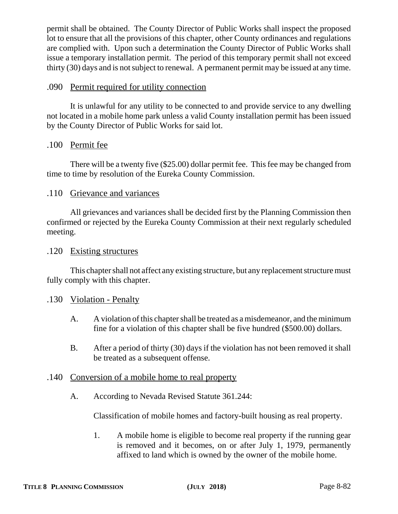permit shall be obtained. The County Director of Public Works shall inspect the proposed lot to ensure that all the provisions of this chapter, other County ordinances and regulations are complied with. Upon such a determination the County Director of Public Works shall issue a temporary installation permit. The period of this temporary permit shall not exceed thirty (30) days and is not subject to renewal. A permanent permit may be issued at any time.

# .090 Permit required for utility connection

It is unlawful for any utility to be connected to and provide service to any dwelling not located in a mobile home park unless a valid County installation permit has been issued by the County Director of Public Works for said lot.

### .100 Permit fee

There will be a twenty five (\$25.00) dollar permit fee. This fee may be changed from time to time by resolution of the Eureka County Commission.

#### .110 Grievance and variances

All grievances and variances shall be decided first by the Planning Commission then confirmed or rejected by the Eureka County Commission at their next regularly scheduled meeting.

#### .120 Existing structures

This chapter shall not affect any existing structure, but any replacement structure must fully comply with this chapter.

#### .130 Violation - Penalty

- A. A violation of this chapter shall be treated as a misdemeanor, and the minimum fine for a violation of this chapter shall be five hundred (\$500.00) dollars.
- B. After a period of thirty (30) days if the violation has not been removed it shall be treated as a subsequent offense.

#### .140 Conversion of a mobile home to real property

A. According to Nevada Revised Statute 361.244:

Classification of mobile homes and factory-built housing as real property.

1. A mobile home is eligible to become real property if the running gear is removed and it becomes, on or after July 1, 1979, permanently affixed to land which is owned by the owner of the mobile home.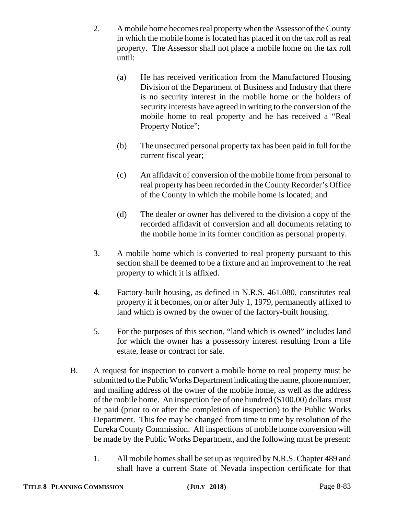- 2. A mobile home becomes real property when the Assessor of the County in which the mobile home is located has placed it on the tax roll as real property. The Assessor shall not place a mobile home on the tax roll until:
	- (a) He has received verification from the Manufactured Housing Division of the Department of Business and Industry that there is no security interest in the mobile home or the holders of security interests have agreed in writing to the conversion of the mobile home to real property and he has received a "Real Property Notice";
	- (b) The unsecured personal property tax has been paid in full for the current fiscal year;
	- (c) An affidavit of conversion of the mobile home from personal to real property has been recorded in the County Recorder's Office of the County in which the mobile home is located; and
	- (d) The dealer or owner has delivered to the division a copy of the recorded affidavit of conversion and all documents relating to the mobile home in its former condition as personal property.
- 3. A mobile home which is converted to real property pursuant to this section shall be deemed to be a fixture and an improvement to the real property to which it is affixed.
- 4. Factory-built housing, as defined in N.R.S. 461.080, constitutes real property if it becomes, on or after July 1, 1979, permanently affixed to land which is owned by the owner of the factory-built housing.
- 5. For the purposes of this section, "land which is owned" includes land for which the owner has a possessory interest resulting from a life estate, lease or contract for sale.
- B. A request for inspection to convert a mobile home to real property must be submitted to the Public Works Department indicating the name, phone number, and mailing address of the owner of the mobile home, as well as the address of the mobile home. An inspection fee of one hundred (\$100.00) dollars must be paid (prior to or after the completion of inspection) to the Public Works Department. This fee may be changed from time to time by resolution of the Eureka County Commission. All inspections of mobile home conversion will be made by the Public Works Department, and the following must be present:
	- 1. All mobile homes shall be set up as required by N.R.S. Chapter 489 and shall have a current State of Nevada inspection certificate for that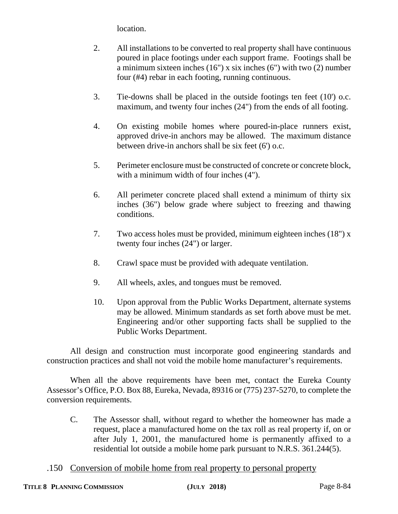location.

- 2. All installations to be converted to real property shall have continuous poured in place footings under each support frame. Footings shall be a minimum sixteen inches  $(16")$  x six inches  $(6")$  with two  $(2)$  number four (#4) rebar in each footing, running continuous.
- 3. Tie-downs shall be placed in the outside footings ten feet (10') o.c. maximum, and twenty four inches (24") from the ends of all footing.
- 4. On existing mobile homes where poured-in-place runners exist, approved drive-in anchors may be allowed. The maximum distance between drive-in anchors shall be six feet (6') o.c.
- 5. Perimeter enclosure must be constructed of concrete or concrete block, with a minimum width of four inches (4").
- 6. All perimeter concrete placed shall extend a minimum of thirty six inches (36") below grade where subject to freezing and thawing conditions.
- 7. Two access holes must be provided, minimum eighteen inches (18") x twenty four inches (24") or larger.
- 8. Crawl space must be provided with adequate ventilation.
- 9. All wheels, axles, and tongues must be removed.
- 10. Upon approval from the Public Works Department, alternate systems may be allowed. Minimum standards as set forth above must be met. Engineering and/or other supporting facts shall be supplied to the Public Works Department.

All design and construction must incorporate good engineering standards and construction practices and shall not void the mobile home manufacturer's requirements.

When all the above requirements have been met, contact the Eureka County Assessor's Office, P.O. Box 88, Eureka, Nevada, 89316 or (775) 237-5270, to complete the conversion requirements.

- C. The Assessor shall, without regard to whether the homeowner has made a request, place a manufactured home on the tax roll as real property if, on or after July 1, 2001, the manufactured home is permanently affixed to a residential lot outside a mobile home park pursuant to N.R.S. 361.244(5).
- .150 Conversion of mobile home from real property to personal property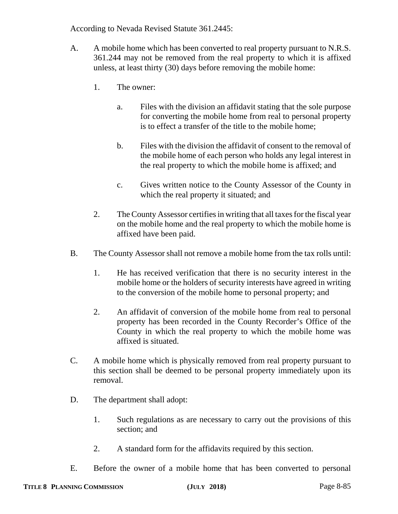According to Nevada Revised Statute 361.2445:

- A. A mobile home which has been converted to real property pursuant to N.R.S. 361.244 may not be removed from the real property to which it is affixed unless, at least thirty (30) days before removing the mobile home:
	- 1. The owner:
		- a. Files with the division an affidavit stating that the sole purpose for converting the mobile home from real to personal property is to effect a transfer of the title to the mobile home;
		- b. Files with the division the affidavit of consent to the removal of the mobile home of each person who holds any legal interest in the real property to which the mobile home is affixed; and
		- c. Gives written notice to the County Assessor of the County in which the real property it situated; and
	- 2. The County Assessor certifies in writing that all taxes for the fiscal year on the mobile home and the real property to which the mobile home is affixed have been paid.
- B. The County Assessor shall not remove a mobile home from the tax rolls until:
	- 1. He has received verification that there is no security interest in the mobile home or the holders of security interests have agreed in writing to the conversion of the mobile home to personal property; and
	- 2. An affidavit of conversion of the mobile home from real to personal property has been recorded in the County Recorder's Office of the County in which the real property to which the mobile home was affixed is situated.
- C. A mobile home which is physically removed from real property pursuant to this section shall be deemed to be personal property immediately upon its removal.
- D. The department shall adopt:
	- 1. Such regulations as are necessary to carry out the provisions of this section; and
	- 2. A standard form for the affidavits required by this section.
- E. Before the owner of a mobile home that has been converted to personal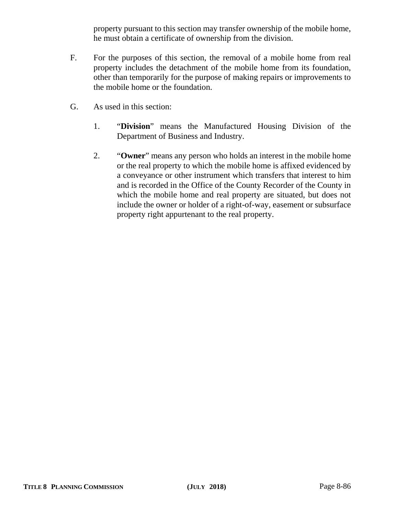property pursuant to this section may transfer ownership of the mobile home, he must obtain a certificate of ownership from the division.

- F. For the purposes of this section, the removal of a mobile home from real property includes the detachment of the mobile home from its foundation, other than temporarily for the purpose of making repairs or improvements to the mobile home or the foundation.
- G. As used in this section:
	- 1. "**Division**" means the Manufactured Housing Division of the Department of Business and Industry.
	- 2. "**Owner**" means any person who holds an interest in the mobile home or the real property to which the mobile home is affixed evidenced by a conveyance or other instrument which transfers that interest to him and is recorded in the Office of the County Recorder of the County in which the mobile home and real property are situated, but does not include the owner or holder of a right-of-way, easement or subsurface property right appurtenant to the real property.